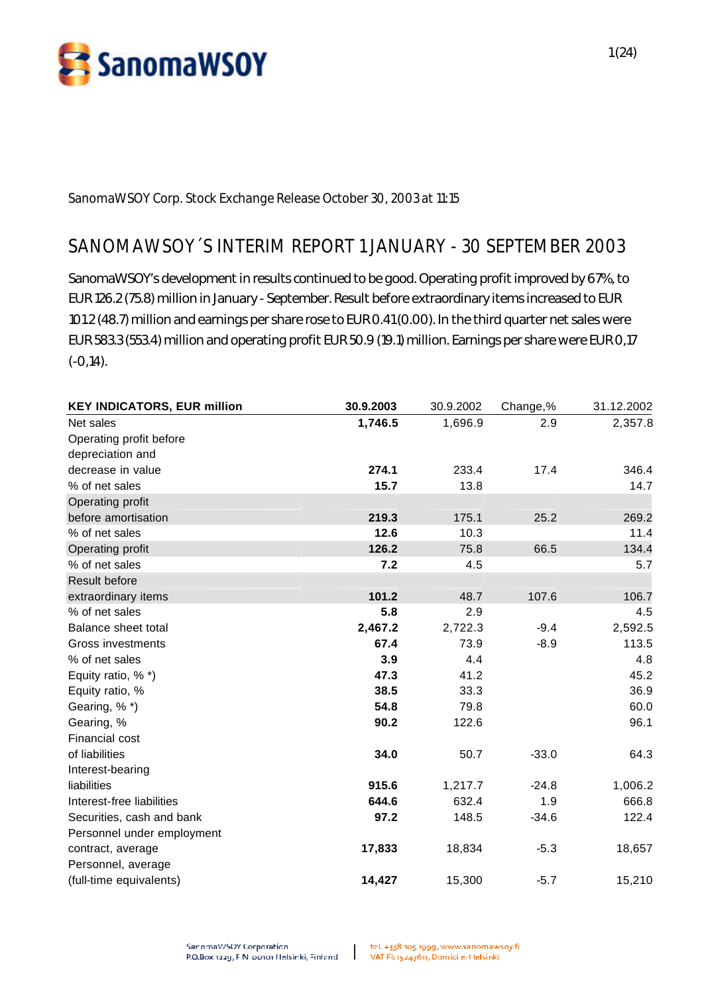

**SanomaWSOY Corp. Stock Exchange Release October 30, 2003 at 11:15**

# **SANOMAWSOY´S INTERIM REPORT 1 JANUARY - 30 SEPTEMBER 2003**

SanomaWSOY's development in results continued to be good. Operating profit improved by 67%, to EUR 126.2 (75.8) million in January - September. Result before extraordinary items increased to EUR 101.2 (48.7) million and earnings per share rose to EUR 0.41 (0.00). In the third quarter net sales were EUR 583.3 (553.4) million and operating profit EUR 50.9 (19.1) million. Earnings per share were EUR 0,17 (-0,14).

| <b>KEY INDICATORS, EUR million</b> | 30.9.2003 | 30.9.2002 | Change,% | 31.12.2002 |
|------------------------------------|-----------|-----------|----------|------------|
| Net sales                          | 1,746.5   | 1,696.9   | 2.9      | 2,357.8    |
| Operating profit before            |           |           |          |            |
| depreciation and                   |           |           |          |            |
| decrease in value                  | 274.1     | 233.4     | 17.4     | 346.4      |
| % of net sales                     | 15.7      | 13.8      |          | 14.7       |
| Operating profit                   |           |           |          |            |
| before amortisation                | 219.3     | 175.1     | 25.2     | 269.2      |
| % of net sales                     | 12.6      | 10.3      |          | 11.4       |
| Operating profit                   | 126.2     | 75.8      | 66.5     | 134.4      |
| % of net sales                     | 7.2       | 4.5       |          | 5.7        |
| <b>Result before</b>               |           |           |          |            |
| extraordinary items                | 101.2     | 48.7      | 107.6    | 106.7      |
| % of net sales                     | 5.8       | 2.9       |          | 4.5        |
| Balance sheet total                | 2,467.2   | 2,722.3   | $-9.4$   | 2,592.5    |
| Gross investments                  | 67.4      | 73.9      | $-8.9$   | 113.5      |
| % of net sales                     | 3.9       | 4.4       |          | 4.8        |
| Equity ratio, % *)                 | 47.3      | 41.2      |          | 45.2       |
| Equity ratio, %                    | 38.5      | 33.3      |          | 36.9       |
| Gearing, %*)                       | 54.8      | 79.8      |          | 60.0       |
| Gearing, %                         | 90.2      | 122.6     |          | 96.1       |
| Financial cost                     |           |           |          |            |
| of liabilities                     | 34.0      | 50.7      | $-33.0$  | 64.3       |
| Interest-bearing                   |           |           |          |            |
| liabilities                        | 915.6     | 1,217.7   | $-24.8$  | 1,006.2    |
| Interest-free liabilities          | 644.6     | 632.4     | 1.9      | 666.8      |
| Securities, cash and bank          | 97.2      | 148.5     | $-34.6$  | 122.4      |
| Personnel under employment         |           |           |          |            |
| contract, average                  | 17,833    | 18,834    | $-5.3$   | 18,657     |
| Personnel, average                 |           |           |          |            |
| (full-time equivalents)            | 14,427    | 15,300    | $-5.7$   | 15,210     |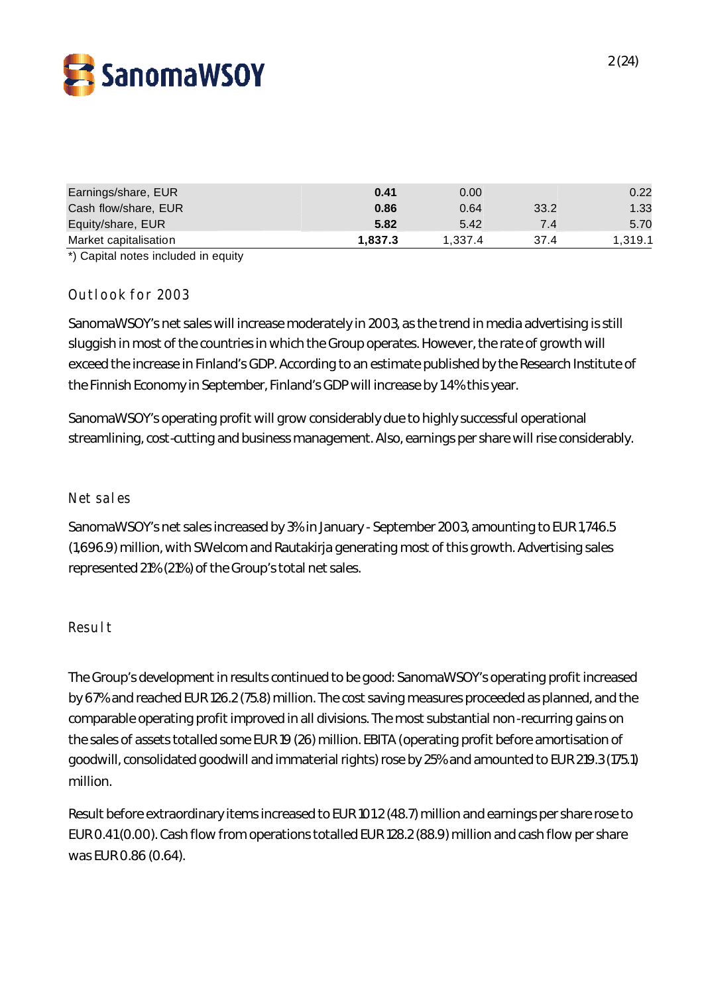

| Earnings/share, EUR   | 0.41    | 0.00    |      | 0.22    |
|-----------------------|---------|---------|------|---------|
| Cash flow/share, EUR  | 0.86    | 0.64    | 33.2 | 1.33    |
| Equity/share, EUR     | 5.82    | 5.42    | 7.4  | 5.70    |
| Market capitalisation | 1.837.3 | 1.337.4 | 37.4 | 1,319.1 |

\*) Capital notes included in equity

# Outlook for 2003

SanomaWSOY's net sales will increase moderately in 2003, as the trend in media advertising is still sluggish in most of the countries in which the Group operates. However, the rate of growth will exceed the increase in Finland's GDP. According to an estimate published by the Research Institute of the Finnish Economy in September, Finland's GDP will increase by 1.4% this year.

SanomaWSOY's operating profit will grow considerably due to highly successful operational streamlining, cost-cutting and business management. Also, earnings per share will rise considerably.

### Net sales

SanomaWSOY's net sales increased by 3% in January - September 2003, amounting to EUR 1,746.5 (1,696.9) million, with SWelcom and Rautakirja generating most of this growth. Advertising sales represented 21% (21%) of the Group's total net sales.

### Result

The Group's development in results continued to be good: SanomaWSOY's operating profit increased by 67% and reached EUR 126.2 (75.8) million. The cost saving measures proceeded as planned, and the comparable operating profit improved in all divisions. The most substantial non-recurring gains on the sales of assets totalled some EUR 19 (26) million. EBITA (operating profit before amortisation of goodwill, consolidated goodwill and immaterial rights) rose by 25% and amounted to EUR 219.3 (175.1) million.

Result before extraordinary items increased to EUR 101.2 (48.7) million and earnings per share rose to EUR 0.41 (0.00). Cash flow from operations totalled EUR 128.2 (88.9) million and cash flow per share was EUR 0.86 (0.64).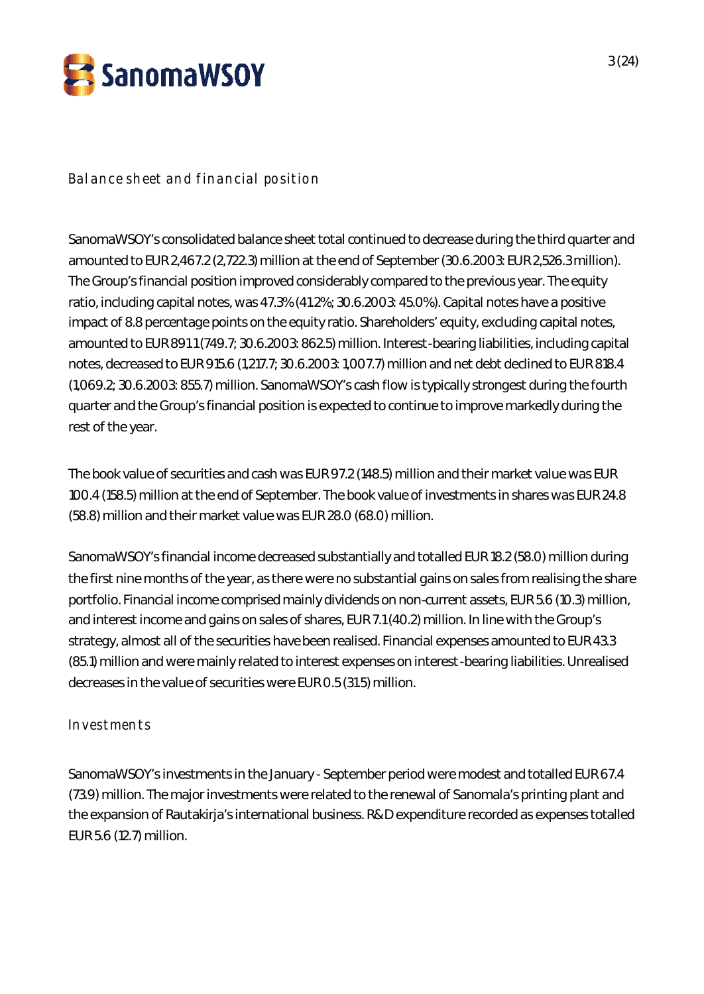

# Balance sheet and financial position

SanomaWSOY's consolidated balance sheet total continued to decrease during the third quarter and amounted to EUR 2,467.2 (2,722.3) million at the end of September (30.6.2003: EUR 2,526.3 million). The Group's financial position improved considerably compared to the previous year. The equity ratio, including capital notes, was 47.3% (41.2%; 30.6.2003: 45.0%). Capital notes have a positive impact of 8.8 percentage points on the equity ratio. Shareholders' equity, excluding capital notes, amounted to EUR 891.1 (749.7; 30.6.2003: 862.5) million. Interest-bearing liabilities, including capital notes, decreased to EUR 915.6 (1,217.7; 30.6.2003: 1,007.7) million and net debt declined to EUR 818.4 (1,069.2; 30.6.2003: 855.7) million. SanomaWSOY's cash flow is typically strongest during the fourth quarter and the Group's financial position is expected to continue to improve markedly during the rest of the year.

The book value of securities and cash was EUR 97.2 (148.5) million and their market value was EUR 100.4 (158.5) million at the end of September. The book value of investments in shares was EUR 24.8 (58.8) million and their market value was EUR 28.0 (68.0) million.

SanomaWSOY's financial income decreased substantially and totalled EUR 18.2 (58.0) million during the first nine months of the year, as there were no substantial gains on sales from realising the share portfolio. Financial income comprised mainly dividends on non-current assets, EUR 5.6 (10.3) million, and interest income and gains on sales of shares, EUR 7.1 (40.2) million. In line with the Group's strategy, almost all of the securities have been realised. Financial expenses amounted to EUR 43.3 (85.1) million and were mainly related to interest expenses on interest-bearing liabilities. Unrealised decreases in the value of securities were EUR 0.5 (31.5) million.

# Investments

SanomaWSOY's investments in the January - September period were modest and totalled EUR 67.4 (73.9) million. The major investments were related to the renewal of Sanomala's printing plant and the expansion of Rautakirja's international business. R&D expenditure recorded as expenses totalled EUR 5.6 (12.7) million.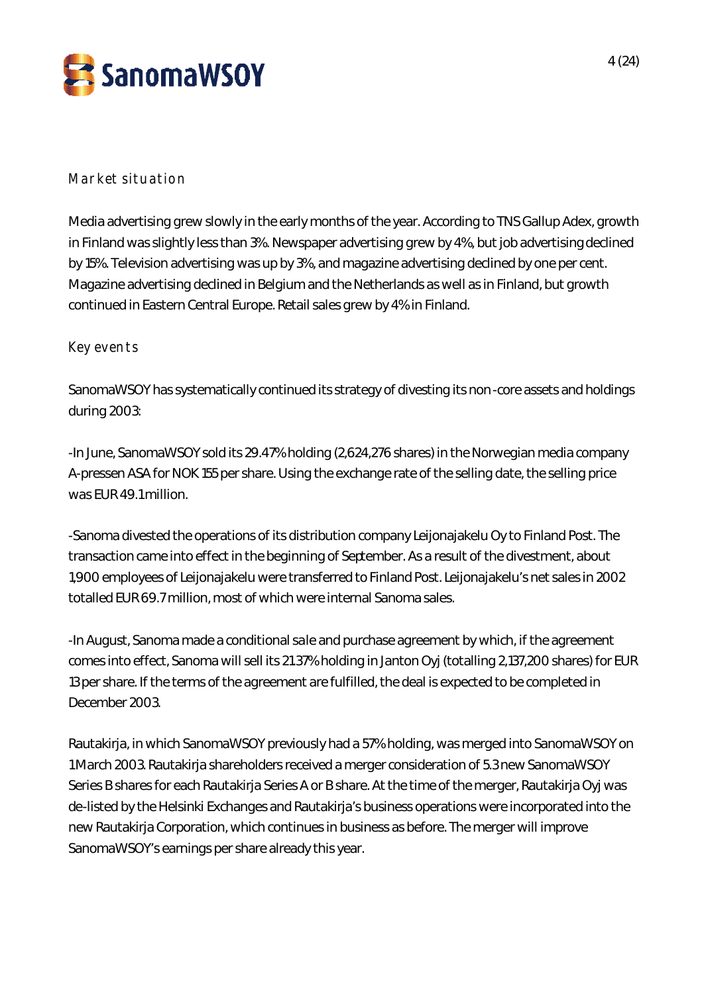

# Market situation

Media advertising grew slowly in the early months of the year. According to TNS Gallup Adex, growth in Finland was slightly less than 3%. Newspaper advertising grew by 4%, but job advertising declined by 15%. Television advertising was up by 3%, and magazine advertising declined by one per cent. Magazine advertising declined in Belgium and the Netherlands as well as in Finland, but growth continued in Eastern Central Europe. Retail sales grew by 4% in Finland.

# Key events

SanomaWSOY has systematically continued its strategy of divesting its non-core assets and holdings during 2003:

-In June, SanomaWSOY sold its 29.47% holding (2,624,276 shares) in the Norwegian media company A-pressen ASA for NOK 155 per share. Using the exchange rate of the selling date, the selling price was EUR 49.1 million.

-Sanoma divested the operations of its distribution company Leijonajakelu Oy to Finland Post. The transaction came into effect in the beginning of September. As a result of the divestment, about 1,900 employees of Leijonajakelu were transferred to Finland Post. Leijonajakelu's net sales in 2002 totalled EUR 69.7 million, most of which were internal Sanoma sales.

-In August, Sanoma made a conditional sale and purchase agreement by which, if the agreement comes into effect, Sanoma will sell its 21.37% holding in Janton Oyj (totalling 2,137,200 shares) for EUR 13 per share. If the terms of the agreement are fulfilled, the deal is expected to be completed in December 2003.

Rautakirja, in which SanomaWSOY previously had a 57% holding, was merged into SanomaWSOY on 1 March 2003. Rautakirja shareholders received a merger consideration of 5.3 new SanomaWSOY Series B shares for each Rautakirja Series A or B share. At the time of the merger, Rautakirja Oyj was de-listed by the Helsinki Exchanges and Rautakirja's business operations were incorporated into the new Rautakirja Corporation, which continues in business as before. The merger will improve SanomaWSOY's earnings per share already this year.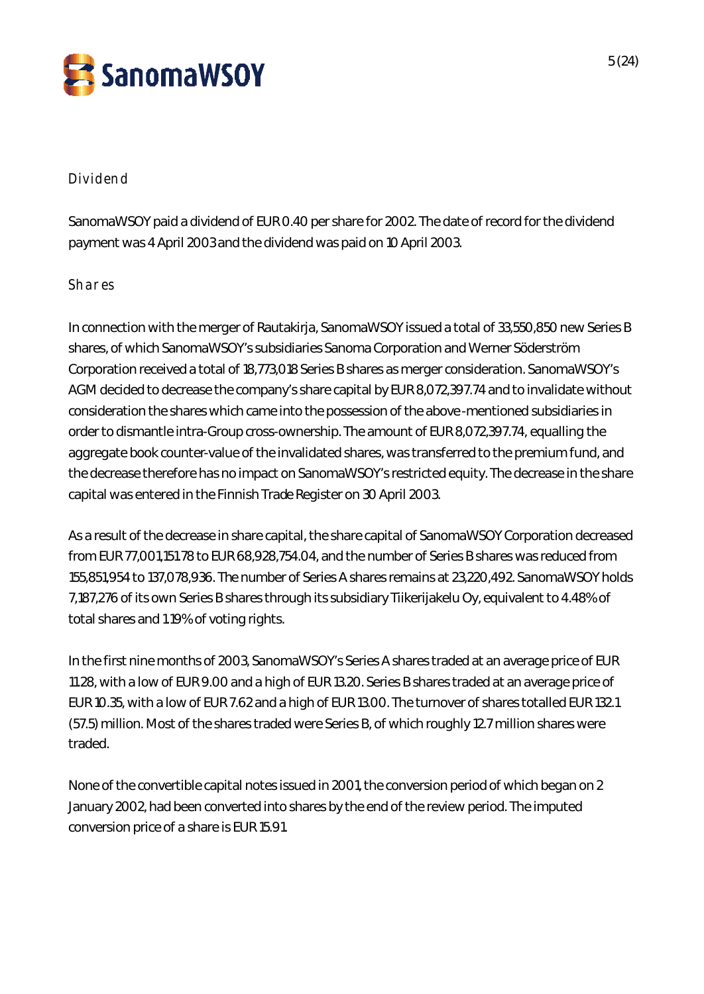

# Dividend

SanomaWSOY paid a dividend of EUR 0.40 per share for 2002. The date of record for the dividend payment was 4 April 2003 and the dividend was paid on 10 April 2003.

# **Shares**

In connection with the merger of Rautakirja, SanomaWSOY issued a total of 33,550,850 new Series B shares, of which SanomaWSOY's subsidiaries Sanoma Corporation and Werner Söderström Corporation received a total of 18,773,018 Series B shares as merger consideration. SanomaWSOY's AGM decided to decrease the company's share capital by EUR 8,072,397.74 and to invalidate without consideration the shares which came into the possession of the above-mentioned subsidiaries in order to dismantle intra-Group cross-ownership. The amount of EUR 8,072,397.74, equalling the aggregate book counter-value of the invalidated shares, was transferred to the premium fund, and the decrease therefore has no impact on SanomaWSOY's restricted equity. The decrease in the share capital was entered in the Finnish Trade Register on 30 April 2003.

As a result of the decrease in share capital, the share capital of SanomaWSOY Corporation decreased from EUR 77,001,151.78 to EUR 68,928,754.04, and the number of Series B shares was reduced from 155,851,954 to 137,078,936. The number of Series A shares remains at 23,220,492. SanomaWSOY holds 7,187,276 of its own Series B shares through its subsidiary Tiikerijakelu Oy, equivalent to 4.48% of total shares and 1.19% of voting rights.

In the first nine months of 2003, SanomaWSOY's Series A shares traded at an average price of EUR 11.28, with a low of EUR 9.00 and a high of EUR 13.20. Series B shares traded at an average price of EUR 10.35, with a low of EUR 7.62 and a high of EUR 13.00. The turnover of shares totalled EUR 132.1 (57.5) million. Most of the shares traded were Series B, of which roughly 12.7 million shares were traded.

None of the convertible capital notes issued in 2001, the conversion period of which began on 2 January 2002, had been converted into shares by the end of the review period. The imputed conversion price of a share is EUR 15.91.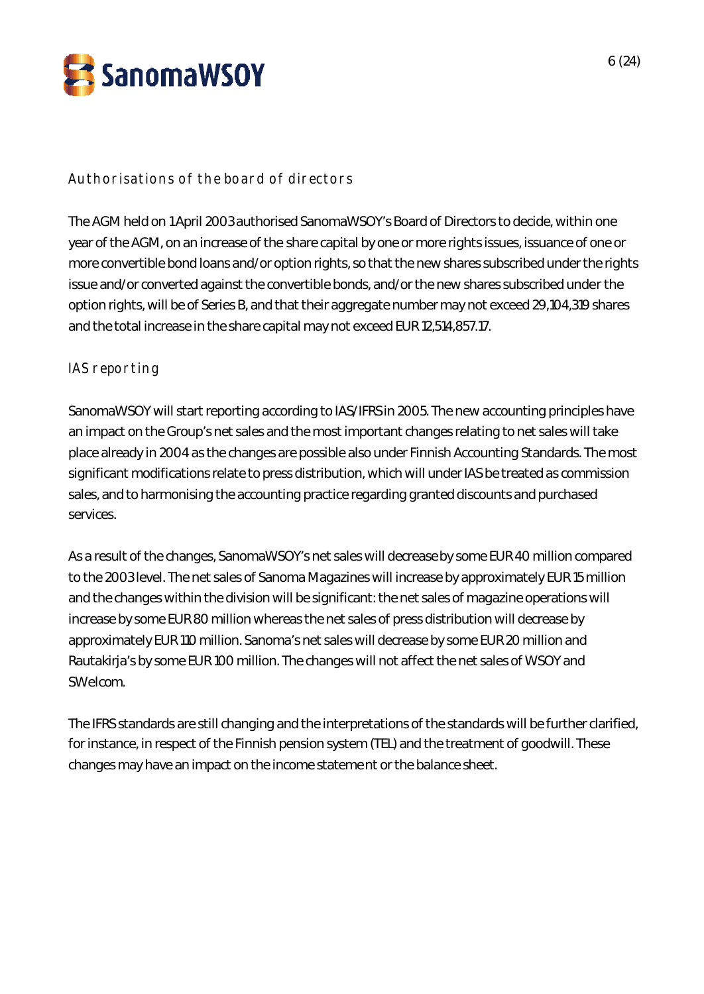

# Authorisations of the board of directors

The AGM held on 1 April 2003 authorised SanomaWSOY's Board of Directors to decide, within one year of the AGM, on an increase of the share capital by one or more rights issues, issuance of one or more convertible bond loans and/or option rights, so that the new shares subscribed under the rights issue and/or converted against the convertible bonds, and/or the new shares subscribed under the option rights, will be of Series B, and that their aggregate number may not exceed 29,104,319 shares and the total increase in the share capital may not exceed EUR 12,514,857.17.

### IAS reporting

SanomaWSOY will start reporting according to IAS/IFRS in 2005. The new accounting principles have an impact on the Group's net sales and the most important changes relating to net sales will take place already in 2004 as the changes are possible also under Finnish Accounting Standards. The most significant modifications relate to press distribution, which will under IAS be treated as commission sales, and to harmonising the accounting practice regarding granted discounts and purchased services.

As a result of the changes, SanomaWSOY's net sales will decrease by some EUR 40 million compared to the 2003 level. The net sales of Sanoma Magazines will increase by approximately EUR 15 million and the changes within the division will be significant: the net sales of magazine operations will increase by some EUR 80 million whereas the net sales of press distribution will decrease by approximately EUR 110 million. Sanoma's net sales will decrease by some EUR 20 million and Rautakirja's by some EUR 100 million. The changes will not affect the net sales of WSOY and SWelcom.

The IFRS standards are still changing and the interpretations of the standards will be further clarified, for instance, in respect of the Finnish pension system (TEL) and the treatment of goodwill. These changes may have an impact on the income statement or the balance sheet.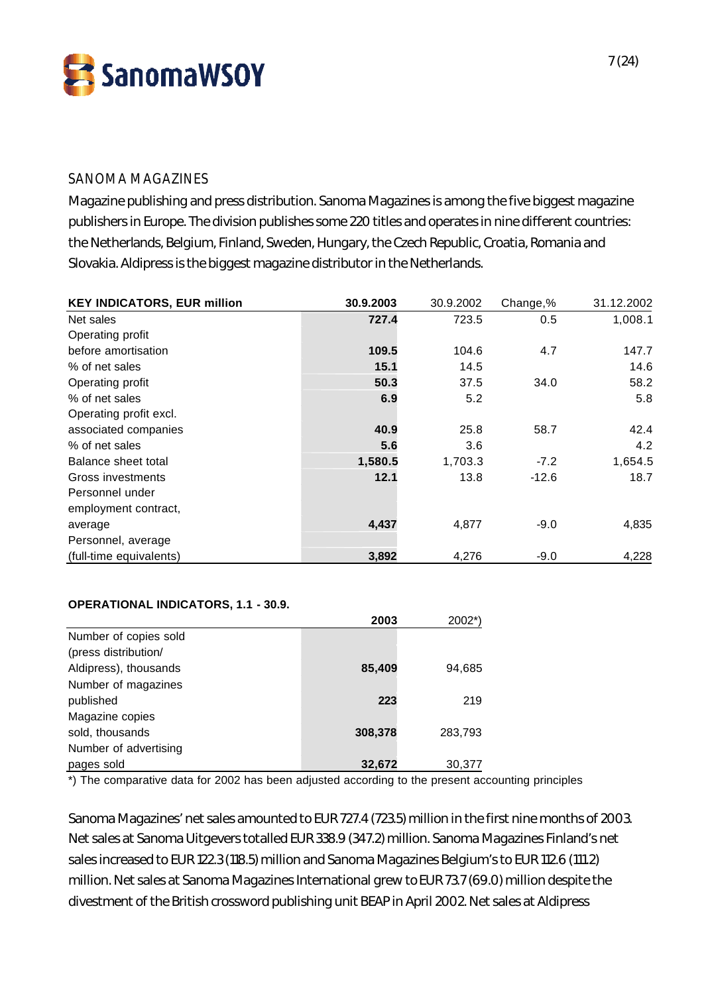

### SANOMA MAGAZINES

Magazine publishing and press distribution. Sanoma Magazines is among the five biggest magazine publishers in Europe. The division publishes some 220 titles and operates in nine different countries: the Netherlands, Belgium, Finland, Sweden, Hungary, the Czech Republic, Croatia, Romania and Slovakia. Aldipress is the biggest magazine distributor in the Netherlands.

| <b>KEY INDICATORS, EUR million</b> | 30.9.2003 | 30.9.2002 | Change,% | 31.12.2002 |
|------------------------------------|-----------|-----------|----------|------------|
| Net sales                          | 727.4     | 723.5     | 0.5      | 1,008.1    |
| Operating profit                   |           |           |          |            |
| before amortisation                | 109.5     | 104.6     | 4.7      | 147.7      |
| % of net sales                     | 15.1      | 14.5      |          | 14.6       |
| Operating profit                   | 50.3      | 37.5      | 34.0     | 58.2       |
| % of net sales                     | 6.9       | 5.2       |          | 5.8        |
| Operating profit excl.             |           |           |          |            |
| associated companies               | 40.9      | 25.8      | 58.7     | 42.4       |
| % of net sales                     | 5.6       | 3.6       |          | 4.2        |
| Balance sheet total                | 1,580.5   | 1,703.3   | $-7.2$   | 1,654.5    |
| Gross investments                  | 12.1      | 13.8      | $-12.6$  | 18.7       |
| Personnel under                    |           |           |          |            |
| employment contract,               |           |           |          |            |
| average                            | 4,437     | 4,877     | $-9.0$   | 4,835      |
| Personnel, average                 |           |           |          |            |
| (full-time equivalents)            | 3,892     | 4,276     | $-9.0$   | 4,228      |

#### **OPERATIONAL INDICATORS, 1.1 - 30.9.**

|                       | 2003    | $2002^*$ |
|-----------------------|---------|----------|
| Number of copies sold |         |          |
| (press distribution/  |         |          |
| Aldipress), thousands | 85,409  | 94,685   |
| Number of magazines   |         |          |
| published             | 223     | 219      |
| Magazine copies       |         |          |
| sold, thousands       | 308,378 | 283,793  |
| Number of advertising |         |          |
| pages sold            | 32,672  | 30.377   |

\*) The comparative data for 2002 has been adjusted according to the present accounting principles

Sanoma Magazines' net sales amounted to EUR 727.4 (723.5) million in the first nine months of 2003. Net sales at Sanoma Uitgevers totalled EUR 338.9 (347.2) million. Sanoma Magazines Finland's net sales increased to EUR 122.3 (118.5) million and Sanoma Magazines Belgium's to EUR 112.6 (111.2) million. Net sales at Sanoma Magazines International grew to EUR 73.7 (69.0) million despite the divestment of the British crossword publishing unit BEAP in April 2002. Net sales at Aldipress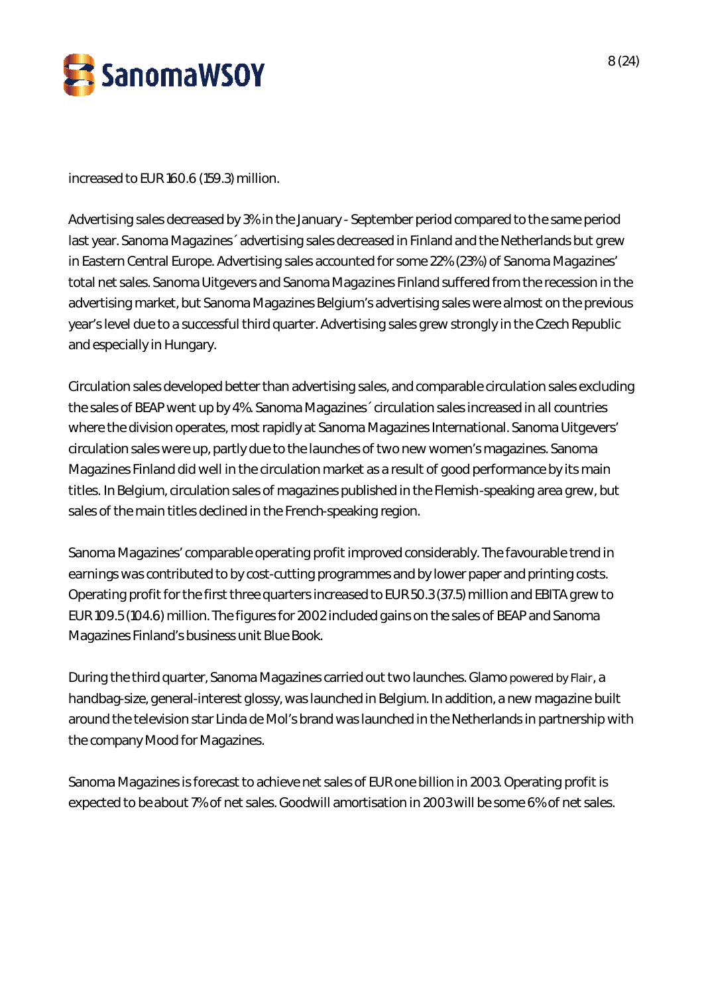

increased to EUR 160.6 (159.3) million.

Advertising sales decreased by 3% in the January - September period compared to the same period last year. Sanoma Magazines´ advertising sales decreased in Finland and the Netherlands but grew in Eastern Central Europe. Advertising sales accounted for some 22% (23%) of Sanoma Magazines' total net sales. Sanoma Uitgevers and Sanoma Magazines Finland suffered from the recession in the advertising market, but Sanoma Magazines Belgium's advertising sales were almost on the previous year's level due to a successful third quarter. Advertising sales grew strongly in the Czech Republic and especially in Hungary.

Circulation sales developed better than advertising sales, and comparable circulation sales excluding the sales of BEAP went up by 4%. Sanoma Magazines´ circulation sales increased in all countries where the division operates, most rapidly at Sanoma Magazines International. Sanoma Uitgevers' circulation sales were up, partly due to the launches of two new women's magazines. Sanoma Magazines Finland did well in the circulation market as a result of good performance by its main titles. In Belgium, circulation sales of magazines published in the Flemish-speaking area grew, but sales of the main titles declined in the French-speaking region.

Sanoma Magazines' comparable operating profit improved considerably. The favourable trend in earnings was contributed to by cost-cutting programmes and by lower paper and printing costs. Operating profit for the first three quarters increased to EUR 50.3 (37.5) million and EBITA grew to EUR 109.5 (104.6) million. The figures for 2002 included gains on the sales of BEAP and Sanoma Magazines Finland's business unit Blue Book.

During the third quarter, Sanoma Magazines carried out two launches. Glamo powered by Flair, a handbag-size, general-interest glossy, was launched in Belgium. In addition, a new magazine built around the television star Linda de Mol's brand was launched in the Netherlands in partnership with the company Mood for Magazines.

Sanoma Magazines is forecast to achieve net sales of EUR one billion in 2003. Operating profit is expected to be about 7% of net sales. Goodwill amortisation in 2003 will be some 6% of net sales.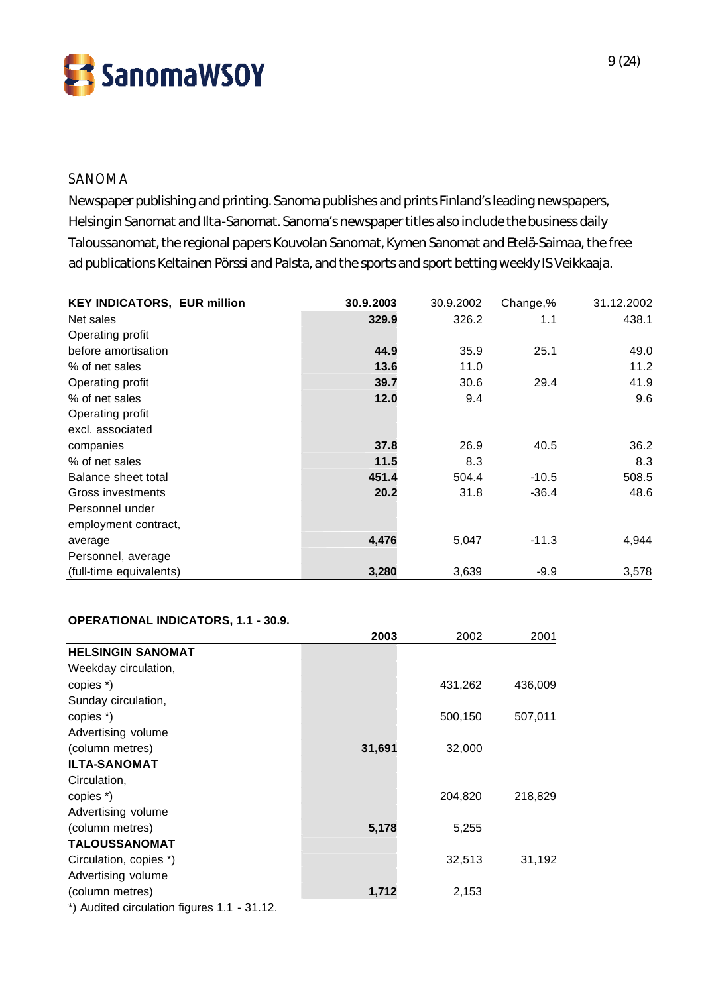SanomaWSOY

### SANOMA

Newspaper publishing and printing. Sanoma publishes and prints Finland's leading newspapers, Helsingin Sanomat and Ilta-Sanomat. Sanoma's newspaper titles also include the business daily Taloussanomat, the regional papers Kouvolan Sanomat, Kymen Sanomat and Etelä-Saimaa, the free ad publications Keltainen Pörssi and Palsta, and the sports and sport betting weekly IS Veikkaaja.

| <b>KEY INDICATORS, EUR million</b> | 30.9.2003 | 30.9.2002 | Change,% | 31.12.2002 |
|------------------------------------|-----------|-----------|----------|------------|
| Net sales                          | 329.9     | 326.2     | 1.1      | 438.1      |
| Operating profit                   |           |           |          |            |
| before amortisation                | 44.9      | 35.9      | 25.1     | 49.0       |
| % of net sales                     | 13.6      | 11.0      |          | 11.2       |
| Operating profit                   | 39.7      | 30.6      | 29.4     | 41.9       |
| % of net sales                     | 12.0      | 9.4       |          | 9.6        |
| Operating profit                   |           |           |          |            |
| excl. associated                   |           |           |          |            |
| companies                          | 37.8      | 26.9      | 40.5     | 36.2       |
| % of net sales                     | 11.5      | 8.3       |          | 8.3        |
| Balance sheet total                | 451.4     | 504.4     | $-10.5$  | 508.5      |
| Gross investments                  | 20.2      | 31.8      | $-36.4$  | 48.6       |
| Personnel under                    |           |           |          |            |
| employment contract,               |           |           |          |            |
| average                            | 4,476     | 5,047     | $-11.3$  | 4,944      |
| Personnel, average                 |           |           |          |            |
| (full-time equivalents)            | 3,280     | 3,639     | $-9.9$   | 3,578      |

#### **OPERATIONAL INDICATORS, 1.1 - 30.9.**

|                          | 2003   | 2002    | 2001    |
|--------------------------|--------|---------|---------|
| <b>HELSINGIN SANOMAT</b> |        |         |         |
| Weekday circulation,     |        |         |         |
| copies *)                |        | 431,262 | 436,009 |
| Sunday circulation,      |        |         |         |
| copies *)                |        | 500,150 | 507,011 |
| Advertising volume       |        |         |         |
| (column metres)          | 31,691 | 32,000  |         |
| <b>ILTA-SANOMAT</b>      |        |         |         |
| Circulation,             |        |         |         |
| copies *)                |        | 204,820 | 218,829 |
| Advertising volume       |        |         |         |
| (column metres)          | 5,178  | 5,255   |         |
| <b>TALOUSSANOMAT</b>     |        |         |         |
| Circulation, copies *)   |        | 32,513  | 31,192  |
| Advertising volume       |        |         |         |
| (column metres)          | 1,712  | 2,153   |         |

\*) Audited circulation figures 1.1 - 31.12.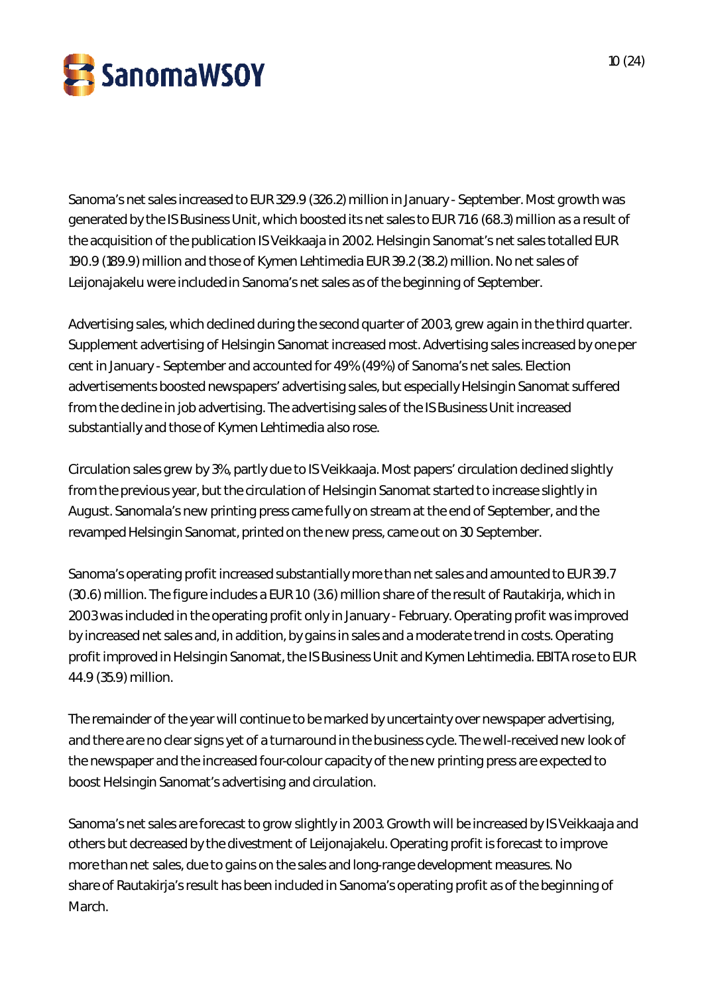

Sanoma's net sales increased to EUR 329.9 (326.2) million in January - September. Most growth was generated by the IS Business Unit, which boosted its net sales to EUR 71.6 (68.3) million as a result of the acquisition of the publication IS Veikkaaja in 2002. Helsingin Sanomat's net sales totalled EUR 190.9 (189.9) million and those of Kymen Lehtimedia EUR 39.2 (38.2) million. No net sales of Leijonajakelu were included in Sanoma's net sales as of the beginning of September.

Advertising sales, which declined during the second quarter of 2003, grew again in the third quarter. Supplement advertising of Helsingin Sanomat increased most. Advertising sales increased by one per cent in January - September and accounted for 49% (49%) of Sanoma's net sales. Election advertisements boosted newspapers' advertising sales, but especially Helsingin Sanomat suffered from the decline in job advertising. The advertising sales of the IS Business Unit increased substantially and those of Kymen Lehtimedia also rose.

Circulation sales grew by 3%, partly due to IS Veikkaaja. Most papers' circulation declined slightly from the previous year, but the circulation of Helsingin Sanomat started to increase slightly in August. Sanomala's new printing press came fully on stream at the end of September, and the revamped Helsingin Sanomat, printed on the new press, came out on 30 September.

Sanoma's operating profit increased substantially more than net sales and amounted to EUR 39.7 (30.6) million. The figure includes a EUR 1.0 (3.6) million share of the result of Rautakirja, which in 2003 was included in the operating profit only in January - February. Operating profit was improved by increased net sales and, in addition, by gains in sales and a moderate trend in costs. Operating profit improved in Helsingin Sanomat, the IS Business Unit and Kymen Lehtimedia. EBITA rose to EUR 44.9 (35.9) million.

The remainder of the year will continue to be marked by uncertainty over newspaper advertising, and there are no clear signs yet of a turnaround in the business cycle. The well-received new look of the newspaper and the increased four-colour capacity of the new printing press are expected to boost Helsingin Sanomat's advertising and circulation.

Sanoma's net sales are forecast to grow slightly in 2003. Growth will be increased by IS Veikkaaja and others but decreased by the divestment of Leijonajakelu. Operating profit is forecast to improve more than net sales, due to gains on the sales and long-range development measures. No share of Rautakirja's result has been included in Sanoma's operating profit as of the beginning of March.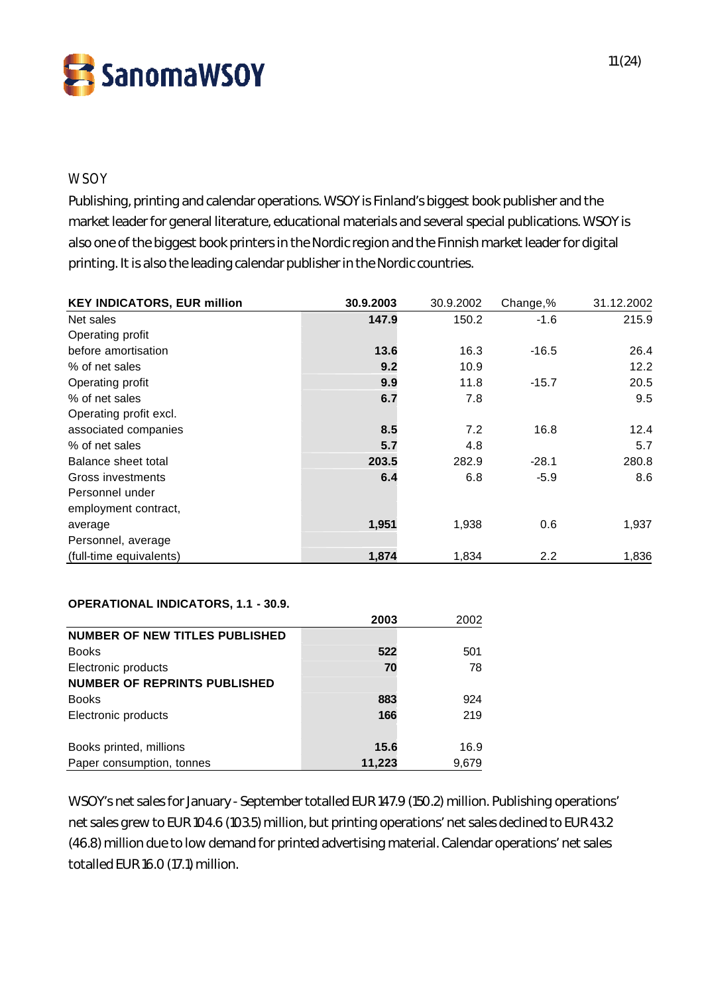

### **WSOY**

Publishing, printing and calendar operations. WSOY is Finland's biggest book publisher and the market leader for general literature, educational materials and several special publications. WSOY is also one of the biggest book printers in the Nordic region and the Finnish market leader for digital printing. It is also the leading calendar publisher in the Nordic countries.

| <b>KEY INDICATORS, EUR million</b> | 30.9.2003 | 30.9.2002 | Change,%         | 31.12.2002 |
|------------------------------------|-----------|-----------|------------------|------------|
| Net sales                          | 147.9     | 150.2     | $-1.6$           | 215.9      |
| Operating profit                   |           |           |                  |            |
| before amortisation                | 13.6      | 16.3      | $-16.5$          | 26.4       |
| % of net sales                     | 9.2       | 10.9      |                  | 12.2       |
| Operating profit                   | 9.9       | 11.8      | $-15.7$          | 20.5       |
| % of net sales                     | 6.7       | 7.8       |                  | 9.5        |
| Operating profit excl.             |           |           |                  |            |
| associated companies               | 8.5       | 7.2       | 16.8             | 12.4       |
| % of net sales                     | 5.7       | 4.8       |                  | 5.7        |
| Balance sheet total                | 203.5     | 282.9     | $-28.1$          | 280.8      |
| Gross investments                  | 6.4       | 6.8       | $-5.9$           | 8.6        |
| Personnel under                    |           |           |                  |            |
| employment contract,               |           |           |                  |            |
| average                            | 1,951     | 1,938     | 0.6              | 1,937      |
| Personnel, average                 |           |           |                  |            |
| (full-time equivalents)            | 1,874     | 1,834     | $2.2\phantom{0}$ | 1,836      |

### **OPERATIONAL INDICATORS, 1.1 - 30.9.**

|                                       | 2003   | 2002  |
|---------------------------------------|--------|-------|
| <b>NUMBER OF NEW TITLES PUBLISHED</b> |        |       |
| <b>Books</b>                          | 522    | 501   |
| Electronic products                   | 70     | 78    |
| <b>NUMBER OF REPRINTS PUBLISHED</b>   |        |       |
| <b>Books</b>                          | 883    | 924   |
| Electronic products                   | 166    | 219   |
|                                       |        |       |
| Books printed, millions               | 15.6   | 16.9  |
| Paper consumption, tonnes             | 11.223 | 9.679 |

WSOY's net sales for January - September totalled EUR 147.9 (150.2) million. Publishing operations' net sales grew to EUR 104.6 (103.5) million, but printing operations' net sales declined to EUR 43.2 (46.8) million due to low demand for printed advertising material. Calendar operations' net sales totalled EUR 16.0 (17.1) million.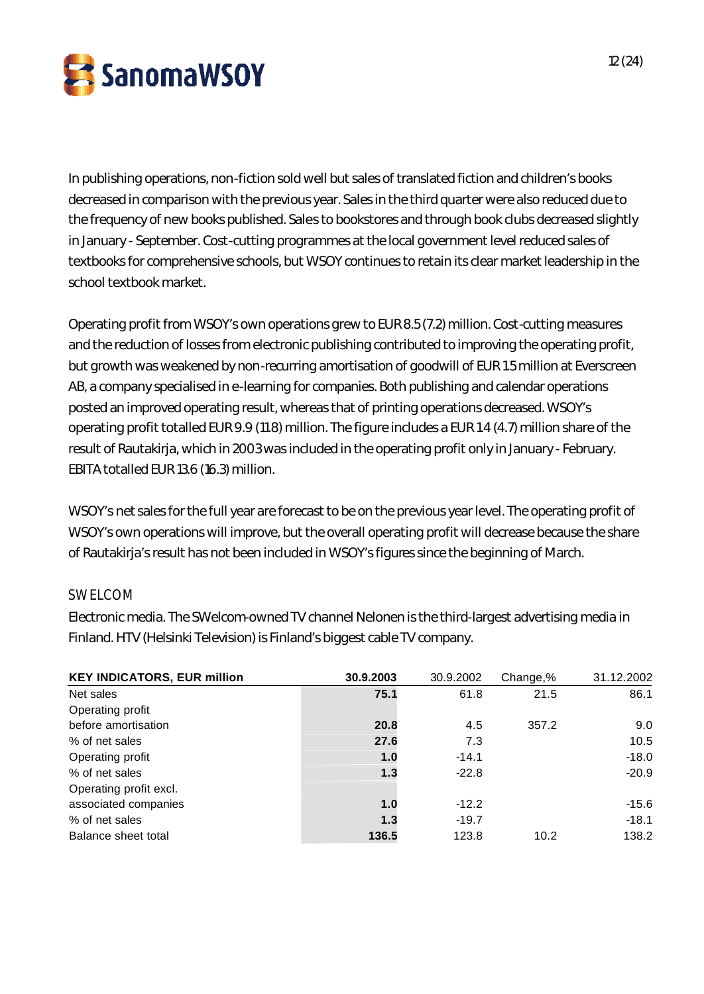

In publishing operations, non-fiction sold well but sales of translated fiction and children's books decreased in comparison with the previous year. Sales in the third quarter were also reduced due to the frequency of new books published. Sales to bookstores and through book clubs decreased slightly in January - September. Cost-cutting programmes at the local government level reduced sales of textbooks for comprehensive schools, but WSOY continues to retain its clear market leadership in the school textbook market.

Operating profit from WSOY's own operations grew to EUR 8.5 (7.2) million. Cost-cutting measures and the reduction of losses from electronic publishing contributed to improving the operating profit, but growth was weakened by non-recurring amortisation of goodwill of EUR 1.5 million at Everscreen AB, a company specialised in e-learning for companies. Both publishing and calendar operations posted an improved operating result, whereas that of printing operations decreased. WSOY's operating profit totalled EUR 9.9 (11.8) million. The figure includes a EUR 1.4 (4.7) million share of the result of Rautakirja, which in 2003 was included in the operating profit only in January - February. EBITA totalled EUR 13.6 (16.3) million.

WSOY's net sales for the full year are forecast to be on the previous year level. The operating profit of WSOY's own operations will improve, but the overall operating profit will decrease because the share of Rautakirja's result has not been included in WSOY's figures since the beginning of March.

# SWELCOM

Electronic media. The SWelcom-owned TV channel Nelonen is the third-largest advertising media in Finland. HTV (Helsinki Television) is Finland's biggest cable TV company.

| <b>KEY INDICATORS, EUR million</b> | 30.9.2003 | 30.9.2002 | Change,% | 31.12.2002 |
|------------------------------------|-----------|-----------|----------|------------|
| Net sales                          | 75.1      | 61.8      | 21.5     | 86.1       |
| Operating profit                   |           |           |          |            |
| before amortisation                | 20.8      | 4.5       | 357.2    | 9.0        |
| % of net sales                     | 27.6      | 7.3       |          | 10.5       |
| Operating profit                   | 1.0       | $-14.1$   |          | $-18.0$    |
| % of net sales                     | 1.3       | $-22.8$   |          | $-20.9$    |
| Operating profit excl.             |           |           |          |            |
| associated companies               | 1.0       | $-12.2$   |          | $-15.6$    |
| % of net sales                     | 1.3       | $-19.7$   |          | $-18.1$    |
| Balance sheet total                | 136.5     | 123.8     | 10.2     | 138.2      |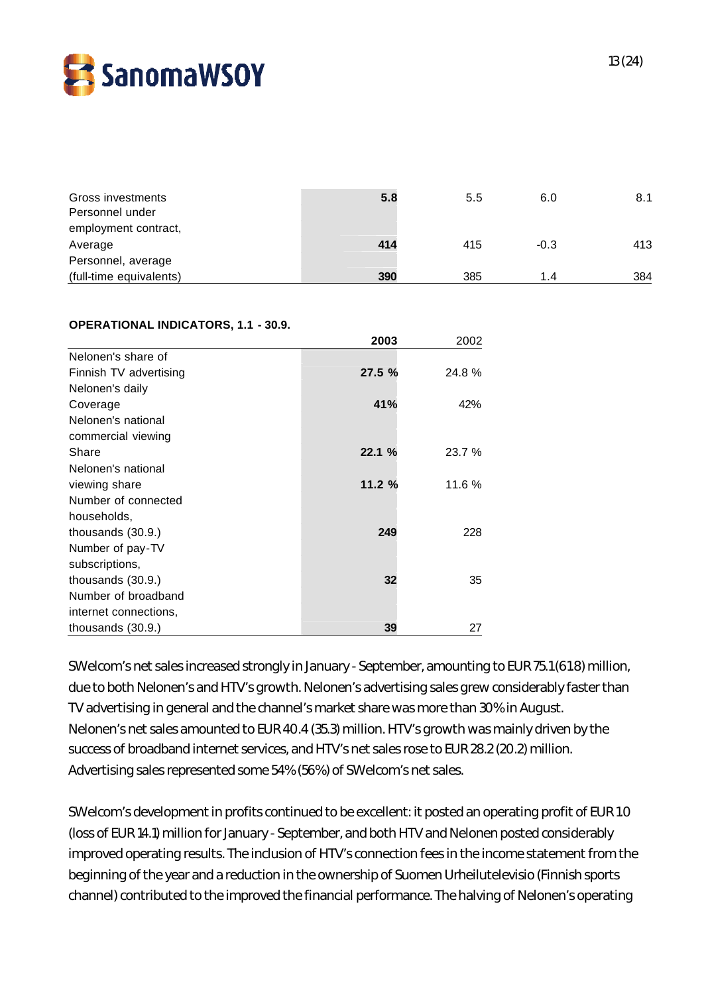

| Gross investments<br>Personnel under<br>employment contract, | 5.8 | 5.5 | 6.0    | 8.1 |
|--------------------------------------------------------------|-----|-----|--------|-----|
| Average<br>Personnel, average                                | 414 | 415 | $-0.3$ | 413 |
| (full-time equivalents)                                      | 390 | 385 | 1 4    | 384 |

#### **OPERATIONAL INDICATORS, 1.1 - 30.9.**

|                        | 2003   | 2002   |
|------------------------|--------|--------|
| Nelonen's share of     |        |        |
| Finnish TV advertising | 27.5 % | 24.8%  |
| Nelonen's daily        |        |        |
| Coverage               | 41%    | 42%    |
| Nelonen's national     |        |        |
| commercial viewing     |        |        |
| Share                  | 22.1%  | 23.7 % |
| Nelonen's national     |        |        |
| viewing share          | 11.2 % | 11.6 % |
| Number of connected    |        |        |
| households,            |        |        |
| thousands $(30.9.)$    | 249    | 228    |
| Number of pay-TV       |        |        |
| subscriptions,         |        |        |
| thousands $(30.9.)$    | 32     | 35     |
| Number of broadband    |        |        |
| internet connections,  |        |        |
| thousands $(30.9.)$    | 39     | 27     |

SWelcom's net sales increased strongly in January - September, amounting to EUR 75.1 (61.8) million, due to both Nelonen's and HTV's growth. Nelonen's advertising sales grew considerably faster than TV advertising in general and the channel's market share was more than 30% in August. Nelonen's net sales amounted to EUR 40.4 (35.3) million. HTV's growth was mainly driven by the success of broadband internet services, and HTV's net sales rose to EUR 28.2 (20.2) million. Advertising sales represented some 54% (56%) of SWelcom's net sales.

SWelcom's development in profits continued to be excellent: it posted an operating profit of EUR 1.0 (loss of EUR 14.1) million for January - September, and both HTV and Nelonen posted considerably improved operating results. The inclusion of HTV's connection fees in the income statement from the beginning of the year and a reduction in the ownership of Suomen Urheilutelevisio (Finnish sports channel) contributed to the improved the financial performance. The halving of Nelonen's operating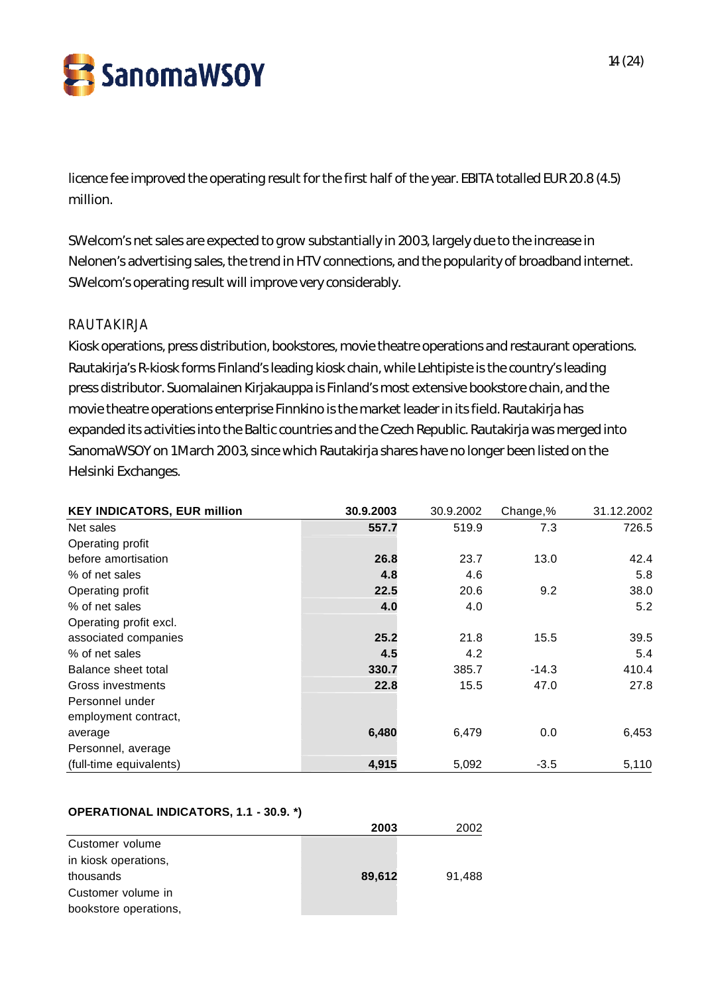SanomaWSOY

licence fee improved the operating result for the first half of the year. EBITA totalled EUR 20.8 (4.5) million.

SWelcom's net sales are expected to grow substantially in 2003, largely due to the increase in Nelonen's advertising sales, the trend in HTV connections, and the popularity of broadband internet. SWelcom's operating result will improve very considerably.

### RAUTAKIRJA

Kiosk operations, press distribution, bookstores, movie theatre operations and restaurant operations. Rautakirja's R-kiosk forms Finland's leading kiosk chain, while Lehtipiste is the country's leading press distributor. Suomalainen Kirjakauppa is Finland's most extensive bookstore chain, and the movie theatre operations enterprise Finnkino is the market leader in its field. Rautakirja has expanded its activities into the Baltic countries and the Czech Republic. Rautakirja was merged into SanomaWSOY on 1 March 2003, since which Rautakirja shares have no longer been listed on the Helsinki Exchanges.

| <b>KEY INDICATORS, EUR million</b> | 30.9.2003 | 30.9.2002 | Change,% | 31.12.2002 |
|------------------------------------|-----------|-----------|----------|------------|
| Net sales                          | 557.7     | 519.9     | 7.3      | 726.5      |
| Operating profit                   |           |           |          |            |
| before amortisation                | 26.8      | 23.7      | 13.0     | 42.4       |
| % of net sales                     | 4.8       | 4.6       |          | 5.8        |
| Operating profit                   | 22.5      | 20.6      | 9.2      | 38.0       |
| % of net sales                     | 4.0       | 4.0       |          | 5.2        |
| Operating profit excl.             |           |           |          |            |
| associated companies               | 25.2      | 21.8      | 15.5     | 39.5       |
| % of net sales                     | 4.5       | 4.2       |          | 5.4        |
| Balance sheet total                | 330.7     | 385.7     | $-14.3$  | 410.4      |
| Gross investments                  | 22.8      | 15.5      | 47.0     | 27.8       |
| Personnel under                    |           |           |          |            |
| employment contract,               |           |           |          |            |
| average                            | 6,480     | 6,479     | 0.0      | 6,453      |
| Personnel, average                 |           |           |          |            |
| (full-time equivalents)            | 4,915     | 5,092     | $-3.5$   | 5,110      |

### **OPERATIONAL INDICATORS, 1.1 - 30.9. \*)**

|                       | 2003   | 2002   |
|-----------------------|--------|--------|
| Customer volume       |        |        |
| in kiosk operations,  |        |        |
| thousands             | 89,612 | 91.488 |
| Customer volume in    |        |        |
| bookstore operations, |        |        |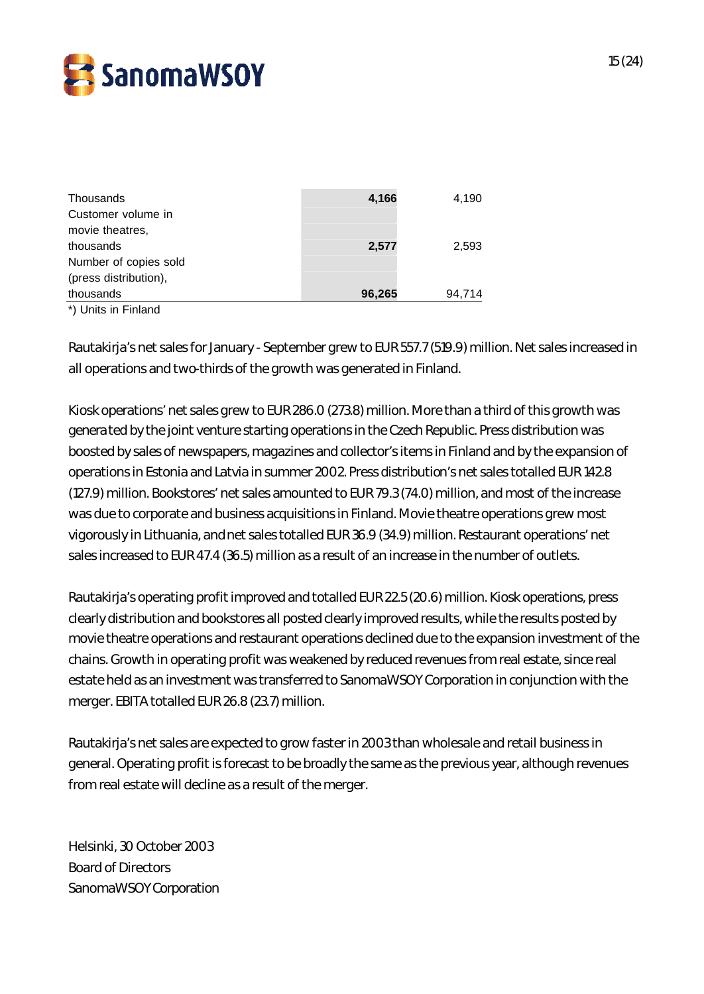

| Thousands             | 4,166  | 4,190  |
|-----------------------|--------|--------|
| Customer volume in    |        |        |
| movie theatres.       |        |        |
| thousands             | 2,577  | 2,593  |
| Number of copies sold |        |        |
| (press distribution), |        |        |
| thousands             | 96,265 | 94,714 |
|                       |        |        |

\*) Units in Finland

Rautakirja's net sales for January - September grew to EUR 557.7 (519.9) million. Net sales increased in all operations and two-thirds of the growth was generated in Finland.

Kiosk operations' net sales grew to EUR 286.0 (273.8) million. More than a third of this growth was generated by the joint venture starting operations in the Czech Republic. Press distribution was boosted by sales of newspapers, magazines and collector's items in Finland and by the expansion of operations in Estonia and Latvia in summer 2002. Press distribution's net sales totalled EUR 142.8 (127.9) million. Bookstores' net sales amounted to EUR 79.3 (74.0) million, and most of the increase was due to corporate and business acquisitions in Finland. Movie theatre operations grew most vigorously in Lithuania, and net sales totalled EUR 36.9 (34.9) million. Restaurant operations' net sales increased to EUR 47.4 (36.5) million as a result of an increase in the number of outlets.

Rautakirja's operating profit improved and totalled EUR 22.5 (20.6) million. Kiosk operations, press clearly distribution and bookstores all posted clearly improved results, while the results posted by movie theatre operations and restaurant operations declined due to the expansion investment of the chains. Growth in operating profit was weakened by reduced revenues from real estate, since real estate held as an investment was transferred to SanomaWSOY Corporation in conjunction with the merger. EBITA totalled EUR 26.8 (23.7) million.

Rautakirja's net sales are expected to grow faster in 2003 than wholesale and retail business in general. Operating profit is forecast to be broadly the same as the previous year, although revenues from real estate will decline as a result of the merger.

Helsinki, 30 October 2003 Board of Directors SanomaWSOY Corporation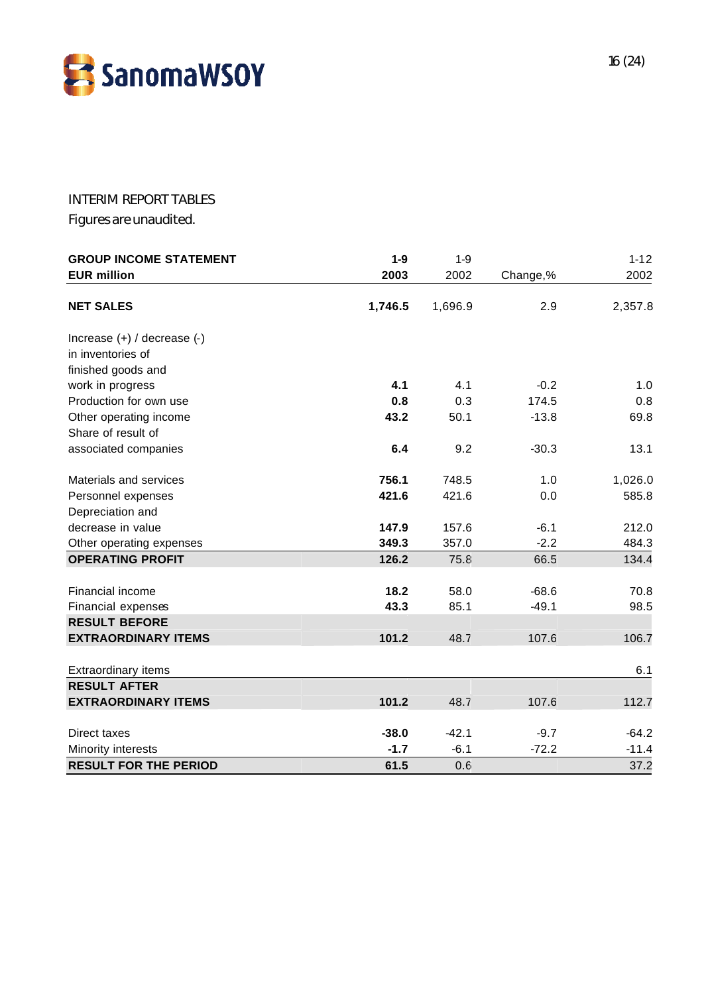

### INTERIM REPORT TABLES

Figures are unaudited.

| <b>GROUP INCOME STATEMENT</b>   | $1-9$   | $1-9$   |          | $1 - 12$ |
|---------------------------------|---------|---------|----------|----------|
| <b>EUR million</b>              | 2003    | 2002    | Change,% | 2002     |
| <b>NET SALES</b>                | 1,746.5 | 1,696.9 | 2.9      | 2,357.8  |
| Increase $(+)$ / decrease $(-)$ |         |         |          |          |
| in inventories of               |         |         |          |          |
| finished goods and              |         |         |          |          |
| work in progress                | 4.1     | 4.1     | $-0.2$   | 1.0      |
| Production for own use          | 0.8     | 0.3     | 174.5    | 0.8      |
| Other operating income          | 43.2    | 50.1    | $-13.8$  | 69.8     |
| Share of result of              |         |         |          |          |
| associated companies            | 6.4     | 9.2     | $-30.3$  | 13.1     |
| Materials and services          | 756.1   | 748.5   | 1.0      | 1,026.0  |
| Personnel expenses              | 421.6   | 421.6   | 0.0      | 585.8    |
| Depreciation and                |         |         |          |          |
| decrease in value               | 147.9   | 157.6   | $-6.1$   | 212.0    |
| Other operating expenses        | 349.3   | 357.0   | $-2.2$   | 484.3    |
| <b>OPERATING PROFIT</b>         | 126.2   | 75.8    | 66.5     | 134.4    |
| Financial income                | 18.2    | 58.0    | $-68.6$  | 70.8     |
| Financial expenses              | 43.3    | 85.1    | $-49.1$  | 98.5     |
| <b>RESULT BEFORE</b>            |         |         |          |          |
| <b>EXTRAORDINARY ITEMS</b>      | 101.2   | 48.7    | 107.6    | 106.7    |
| <b>Extraordinary items</b>      |         |         |          | 6.1      |
| <b>RESULT AFTER</b>             |         |         |          |          |
| <b>EXTRAORDINARY ITEMS</b>      | 101.2   | 48.7    | 107.6    | 112.7    |
| Direct taxes                    | $-38.0$ | $-42.1$ | $-9.7$   | $-64.2$  |
| Minority interests              | $-1.7$  | $-6.1$  | $-72.2$  | $-11.4$  |
| <b>RESULT FOR THE PERIOD</b>    | 61.5    | 0.6     |          | 37.2     |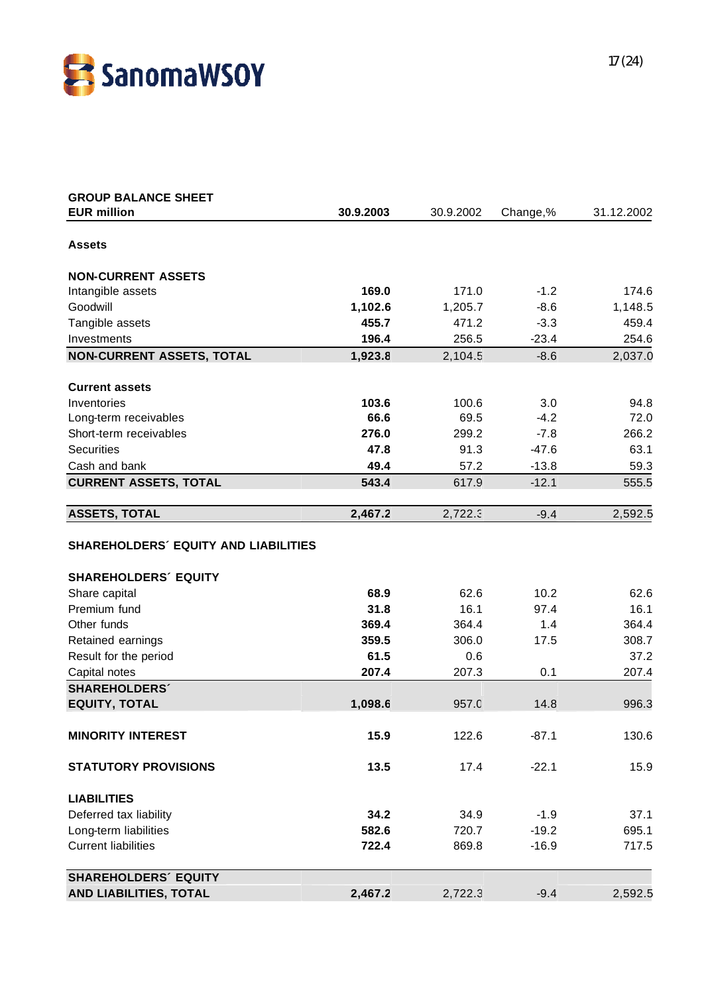

| <b>GROUP BALANCE SHEET</b>                  |           |           |          |            |
|---------------------------------------------|-----------|-----------|----------|------------|
| <b>EUR million</b>                          | 30.9.2003 | 30.9.2002 | Change,% | 31.12.2002 |
| <b>Assets</b>                               |           |           |          |            |
| <b>NON-CURRENT ASSETS</b>                   |           |           |          |            |
| Intangible assets                           | 169.0     | 171.0     | $-1.2$   | 174.6      |
| Goodwill                                    | 1,102.6   | 1,205.7   | $-8.6$   | 1,148.5    |
| Tangible assets                             | 455.7     | 471.2     | $-3.3$   | 459.4      |
| Investments                                 | 196.4     | 256.5     | $-23.4$  | 254.6      |
| <b>NON-CURRENT ASSETS, TOTAL</b>            | 1,923.8   | 2,104.5   | $-8.6$   | 2,037.0    |
|                                             |           |           |          |            |
| <b>Current assets</b>                       |           |           |          |            |
| Inventories                                 | 103.6     | 100.6     | 3.0      | 94.8       |
| Long-term receivables                       | 66.6      | 69.5      | $-4.2$   | 72.0       |
| Short-term receivables                      | 276.0     | 299.2     | $-7.8$   | 266.2      |
| <b>Securities</b>                           | 47.8      | 91.3      | $-47.6$  | 63.1       |
| Cash and bank                               | 49.4      | 57.2      | $-13.8$  | 59.3       |
| <b>CURRENT ASSETS, TOTAL</b>                | 543.4     | 617.9     | $-12.1$  | 555.5      |
| <b>ASSETS, TOTAL</b>                        | 2,467.2   | 2,722.3   | $-9.4$   | 2,592.5    |
| <b>SHAREHOLDERS' EQUITY AND LIABILITIES</b> |           |           |          |            |
|                                             |           |           |          |            |
| <b>SHAREHOLDERS' EQUITY</b>                 |           |           |          |            |
| Share capital                               | 68.9      | 62.6      | 10.2     | 62.6       |
| Premium fund                                | 31.8      | 16.1      | 97.4     | 16.1       |
| Other funds                                 | 369.4     | 364.4     | 1.4      | 364.4      |
| Retained earnings                           | 359.5     | 306.0     | 17.5     | 308.7      |
| Result for the period                       | 61.5      | 0.6       |          | 37.2       |
| Capital notes                               | 207.4     | 207.3     | 0.1      | 207.4      |
| <b>SHAREHOLDERS</b>                         |           |           |          |            |
| <b>EQUITY, TOTAL</b>                        | 1,098.6   | 957.0     | 14.8     | 996.3      |
| <b>MINORITY INTEREST</b>                    | 15.9      | 122.6     | $-87.1$  | 130.6      |
|                                             |           |           |          |            |
| <b>STATUTORY PROVISIONS</b>                 | 13.5      | 17.4      | $-22.1$  | 15.9       |
| <b>LIABILITIES</b>                          |           |           |          |            |
| Deferred tax liability                      | 34.2      | 34.9      | $-1.9$   | 37.1       |
| Long-term liabilities                       | 582.6     | 720.7     | $-19.2$  | 695.1      |
| <b>Current liabilities</b>                  | 722.4     | 869.8     | $-16.9$  | 717.5      |
| <b>SHAREHOLDERS' EQUITY</b>                 |           |           |          |            |
| AND LIABILITIES, TOTAL                      | 2,467.2   | 2,722.3   | $-9.4$   | 2,592.5    |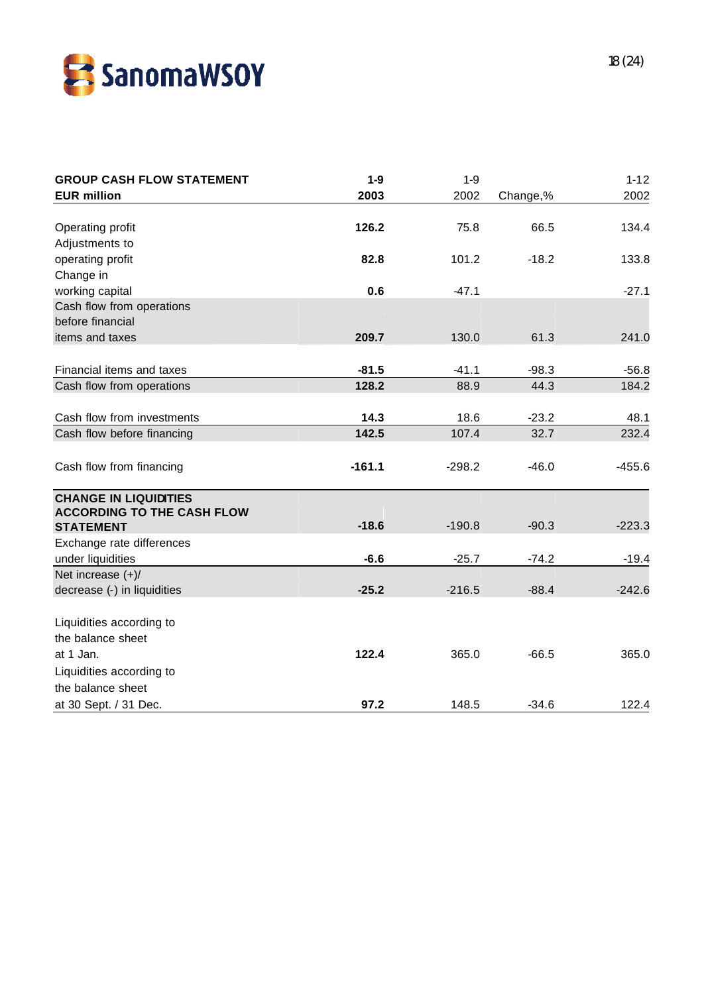

| <b>GROUP CASH FLOW STATEMENT</b>  | $1-9$    | $1-9$    |          | $1 - 12$ |
|-----------------------------------|----------|----------|----------|----------|
| <b>EUR million</b>                | 2003     | 2002     | Change,% | 2002     |
|                                   |          |          |          |          |
| Operating profit                  | 126.2    | 75.8     | 66.5     | 134.4    |
| Adjustments to                    |          |          |          |          |
| operating profit                  | 82.8     | 101.2    | $-18.2$  | 133.8    |
| Change in                         |          |          |          |          |
| working capital                   | 0.6      | $-47.1$  |          | $-27.1$  |
| Cash flow from operations         |          |          |          |          |
| before financial                  |          |          |          |          |
| items and taxes                   | 209.7    | 130.0    | 61.3     | 241.0    |
| Financial items and taxes         | $-81.5$  | $-41.1$  | $-98.3$  | $-56.8$  |
| Cash flow from operations         | 128.2    | 88.9     | 44.3     | 184.2    |
|                                   |          |          |          |          |
| Cash flow from investments        | 14.3     | 18.6     | $-23.2$  | 48.1     |
| Cash flow before financing        | 142.5    | 107.4    | 32.7     | 232.4    |
|                                   | $-161.1$ |          |          |          |
| Cash flow from financing          |          | $-298.2$ | $-46.0$  | $-455.6$ |
| <b>CHANGE IN LIQUIDITIES</b>      |          |          |          |          |
| <b>ACCORDING TO THE CASH FLOW</b> |          |          |          |          |
| <b>STATEMENT</b>                  | $-18.6$  | $-190.8$ | $-90.3$  | $-223.3$ |
| Exchange rate differences         |          |          |          |          |
| under liquidities                 | $-6.6$   | $-25.7$  | $-74.2$  | $-19.4$  |
| Net increase $(+)/$               |          |          |          |          |
| decrease (-) in liquidities       | $-25.2$  | $-216.5$ | $-88.4$  | $-242.6$ |
| Liquidities according to          |          |          |          |          |
| the balance sheet                 |          |          |          |          |
| at 1 Jan.                         | 122.4    | 365.0    | $-66.5$  | 365.0    |
| Liquidities according to          |          |          |          |          |
| the balance sheet                 |          |          |          |          |
| at 30 Sept. / 31 Dec.             | 97.2     | 148.5    | $-34.6$  | 122.4    |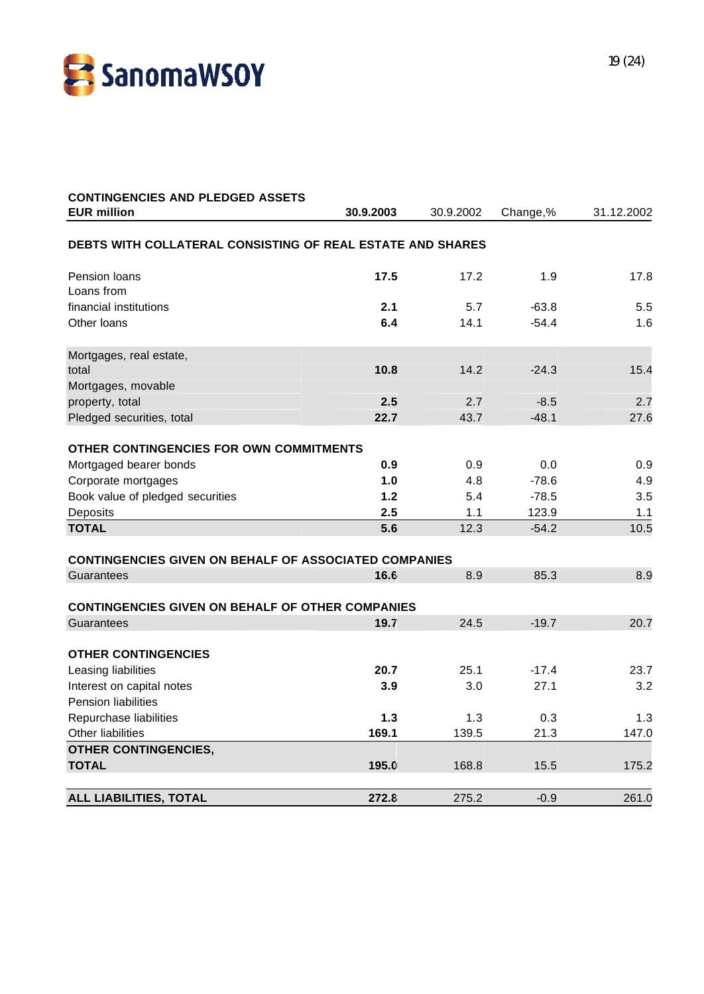

| <b>CONTINGENCIES AND PLEDGED ASSETS</b>                      |            |            |                  |             |
|--------------------------------------------------------------|------------|------------|------------------|-------------|
| <b>EUR million</b>                                           | 30.9.2003  | 30.9.2002  | Change,%         | 31.12.2002  |
| DEBTS WITH COLLATERAL CONSISTING OF REAL ESTATE AND SHARES   |            |            |                  |             |
| Pension loans                                                | 17.5       | 17.2       | 1.9              | 17.8        |
| Loans from                                                   |            |            |                  |             |
| financial institutions                                       | 2.1        | 5.7        | $-63.8$          | 5.5         |
| Other loans                                                  | 6.4        | 14.1       | $-54.4$          | 1.6         |
| Mortgages, real estate,                                      |            |            |                  |             |
| total                                                        | 10.8       | 14.2       | $-24.3$          | 15.4        |
| Mortgages, movable                                           |            |            |                  |             |
| property, total                                              | 2.5        | 2.7        | $-8.5$           | 2.7         |
| Pledged securities, total                                    | 22.7       | 43.7       | $-48.1$          | 27.6        |
| OTHER CONTINGENCIES FOR OWN COMMITMENTS                      |            |            |                  |             |
| Mortgaged bearer bonds                                       | 0.9        | 0.9        | 0.0              | 0.9         |
|                                                              | 1.0        | 4.8        | $-78.6$          | 4.9         |
| Corporate mortgages                                          |            |            |                  | 3.5         |
| Book value of pledged securities                             | 1.2<br>2.5 | 5.4<br>1.1 | $-78.5$          |             |
| Deposits<br><b>TOTAL</b>                                     | 5.6        | 12.3       | 123.9<br>$-54.2$ | 1.1<br>10.5 |
|                                                              |            |            |                  |             |
| <b>CONTINGENCIES GIVEN ON BEHALF OF ASSOCIATED COMPANIES</b> |            |            |                  |             |
| Guarantees                                                   | 16.6       | 8.9        | 85.3             | 8.9         |
|                                                              |            |            |                  |             |
| <b>CONTINGENCIES GIVEN ON BEHALF OF OTHER COMPANIES</b>      |            |            |                  |             |
| Guarantees                                                   | 19.7       | 24.5       | $-19.7$          | 20.7        |
| <b>OTHER CONTINGENCIES</b>                                   |            |            |                  |             |
| Leasing liabilities                                          | 20.7       | 25.1       | $-17.4$          | 23.7        |
| Interest on capital notes                                    | 3.9        | 3.0        | 27.1             | 3.2         |
| <b>Pension liabilities</b>                                   |            |            |                  |             |
| Repurchase liabilities                                       | 1.3        | 1.3        | 0.3              | 1.3         |
| Other liabilities                                            | 169.1      | 139.5      | 21.3             | 147.0       |
| <b>OTHER CONTINGENCIES,</b>                                  |            |            |                  |             |
| <b>TOTAL</b>                                                 | 195.0      | 168.8      | 15.5             | 175.2       |
|                                                              |            |            |                  |             |
| <b>ALL LIABILITIES, TOTAL</b>                                | 272.8      | 275.2      | $-0.9$           | 261.0       |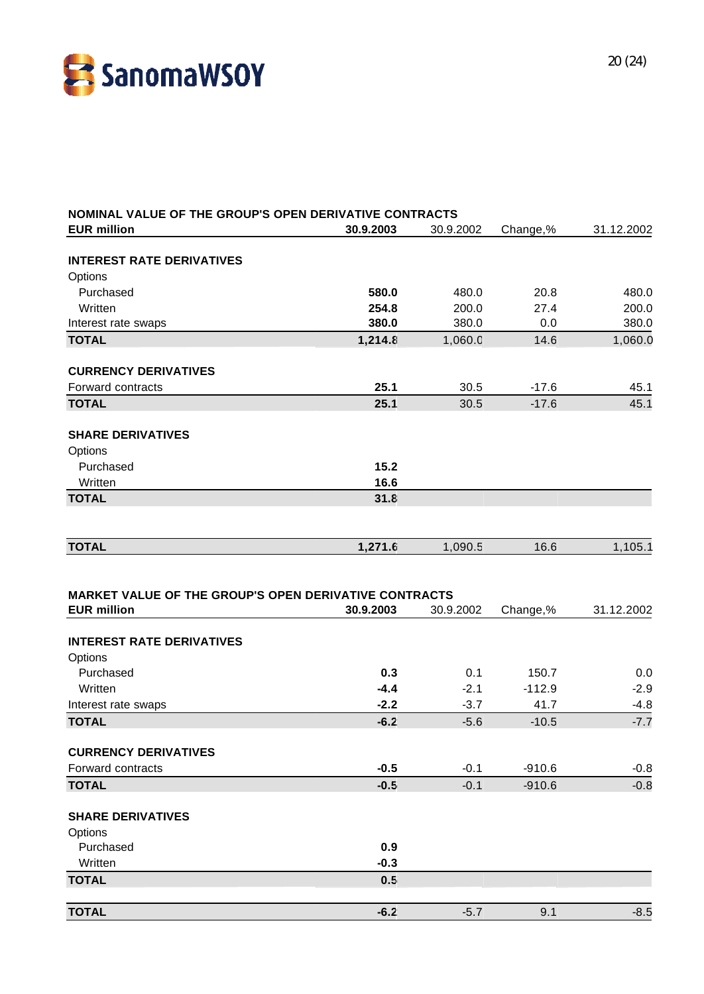

| NOMINAL VALUE OF THE GROUP'S OPEN DERIVATIVE CONTRACTS       |           |           |          |            |
|--------------------------------------------------------------|-----------|-----------|----------|------------|
| <b>EUR million</b>                                           | 30.9.2003 | 30.9.2002 | Change,% | 31.12.2002 |
|                                                              |           |           |          |            |
| <b>INTEREST RATE DERIVATIVES</b><br>Options                  |           |           |          |            |
| Purchased                                                    | 580.0     | 480.0     | 20.8     | 480.0      |
| Written                                                      | 254.8     | 200.0     | 27.4     | 200.0      |
| Interest rate swaps                                          | 380.0     | 380.0     | 0.0      | 380.0      |
| <b>TOTAL</b>                                                 | 1,214.8   | 1,060.0   | 14.6     | 1,060.0    |
|                                                              |           |           |          |            |
| <b>CURRENCY DERIVATIVES</b>                                  |           |           |          |            |
| Forward contracts                                            | 25.1      | 30.5      | $-17.6$  | 45.1       |
| <b>TOTAL</b>                                                 | 25.1      | 30.5      | $-17.6$  | 45.1       |
|                                                              |           |           |          |            |
| <b>SHARE DERIVATIVES</b>                                     |           |           |          |            |
| Options                                                      |           |           |          |            |
| Purchased                                                    | 15.2      |           |          |            |
| Written                                                      | 16.6      |           |          |            |
| <b>TOTAL</b>                                                 | 31.8      |           |          |            |
|                                                              |           |           |          |            |
| <b>TOTAL</b>                                                 | 1,271.6   | 1,090.5   | 16.6     | 1,105.1    |
|                                                              |           |           |          |            |
| <b>MARKET VALUE OF THE GROUP'S OPEN DERIVATIVE CONTRACTS</b> |           |           |          |            |
| <b>EUR million</b>                                           | 30.9.2003 | 30.9.2002 | Change,% | 31.12.2002 |
|                                                              |           |           |          |            |
| <b>INTEREST RATE DERIVATIVES</b>                             |           |           |          |            |
| Options                                                      |           |           |          |            |
| Purchased                                                    | 0.3       | 0.1       | 150.7    | 0.0        |
| Written                                                      | $-4.4$    | $-2.1$    | $-112.9$ | $-2.9$     |
| Interest rate swaps                                          | $-2.2$    | $-3.7$    | 41.7     | $-4.8$     |
| <b>TOTAL</b>                                                 | $-6.2$    | $-5.6$    | $-10.5$  | $-7.7$     |
|                                                              |           |           |          |            |
| <b>CURRENCY DERIVATIVES</b>                                  |           |           |          |            |
| Forward contracts                                            | $-0.5$    | $-0.1$    | $-910.6$ | $-0.8$     |
| <b>TOTAL</b>                                                 | $-0.5$    | $-0.1$    | $-910.6$ | $-0.8$     |
| <b>SHARE DERIVATIVES</b>                                     |           |           |          |            |
| Options                                                      |           |           |          |            |
| Purchased                                                    | 0.9       |           |          |            |
| Written                                                      | $-0.3$    |           |          |            |
| <b>TOTAL</b>                                                 | 0.5       |           |          |            |
|                                                              |           |           |          |            |
| <b>TOTAL</b>                                                 | $-6.2$    | $-5.7$    | 9.1      | $-8.5$     |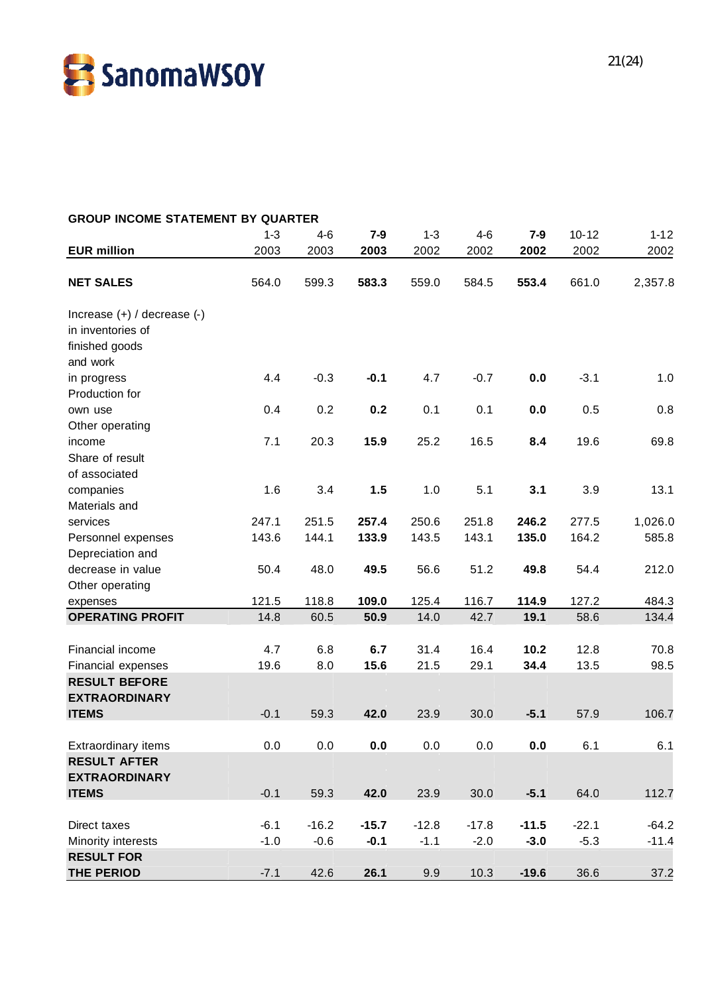

| <b>GROUP INCOME STATEMENT BY QUARTER</b> |         |         |         |         |         |         |           |          |
|------------------------------------------|---------|---------|---------|---------|---------|---------|-----------|----------|
|                                          | $1 - 3$ | 4-6     | $7-9$   | $1 - 3$ | $4 - 6$ | $7-9$   | $10 - 12$ | $1 - 12$ |
| <b>EUR million</b>                       | 2003    | 2003    | 2003    | 2002    | 2002    | 2002    | 2002      | 2002     |
| <b>NET SALES</b>                         | 564.0   | 599.3   | 583.3   | 559.0   | 584.5   | 553.4   | 661.0     | 2,357.8  |
| Increase $(+)$ / decrease $(-)$          |         |         |         |         |         |         |           |          |
| in inventories of                        |         |         |         |         |         |         |           |          |
| finished goods                           |         |         |         |         |         |         |           |          |
| and work                                 |         |         |         |         |         |         |           |          |
| in progress                              | 4.4     | $-0.3$  | $-0.1$  | 4.7     | $-0.7$  | 0.0     | $-3.1$    | 1.0      |
| Production for                           |         |         |         |         |         |         |           |          |
| own use                                  | 0.4     | 0.2     | 0.2     | 0.1     | 0.1     | 0.0     | 0.5       | 0.8      |
| Other operating                          |         |         |         |         |         |         |           |          |
| income                                   | 7.1     | 20.3    | 15.9    | 25.2    | 16.5    | 8.4     | 19.6      | 69.8     |
| Share of result                          |         |         |         |         |         |         |           |          |
| of associated                            |         |         |         |         |         |         |           |          |
| companies                                | 1.6     | 3.4     | 1.5     | 1.0     | 5.1     | 3.1     | 3.9       | 13.1     |
| Materials and                            |         |         |         |         |         |         |           |          |
| services                                 | 247.1   | 251.5   | 257.4   | 250.6   | 251.8   | 246.2   | 277.5     | 1,026.0  |
| Personnel expenses                       | 143.6   | 144.1   | 133.9   | 143.5   | 143.1   | 135.0   | 164.2     | 585.8    |
| Depreciation and                         |         |         |         |         |         |         |           |          |
| decrease in value                        | 50.4    | 48.0    | 49.5    | 56.6    | 51.2    | 49.8    | 54.4      | 212.0    |
| Other operating                          |         |         |         |         |         |         |           |          |
| expenses                                 | 121.5   | 118.8   | 109.0   | 125.4   | 116.7   | 114.9   | 127.2     | 484.3    |
| <b>OPERATING PROFIT</b>                  | 14.8    | 60.5    | 50.9    | 14.0    | 42.7    | 19.1    | 58.6      | 134.4    |
|                                          |         |         |         |         |         |         |           |          |
| Financial income                         | 4.7     | 6.8     | 6.7     | 31.4    | 16.4    | 10.2    | 12.8      | 70.8     |
| Financial expenses                       | 19.6    | 8.0     | 15.6    | 21.5    | 29.1    | 34.4    | 13.5      | 98.5     |
| <b>RESULT BEFORE</b>                     |         |         |         |         |         |         |           |          |
| <b>EXTRAORDINARY</b>                     |         |         |         |         |         |         |           |          |
| <b>ITEMS</b>                             | $-0.1$  | 59.3    | 42.0    | 23.9    | 30.0    | $-5.1$  | 57.9      | 106.7    |
|                                          |         |         |         |         |         |         |           |          |
| Extraordinary items                      | 0.0     | $0.0\,$ | 0.0     | 0.0     | 0.0     | $0.0\,$ | 6.1       | 6.1      |
| <b>RESULT AFTER</b>                      |         |         |         |         |         |         |           |          |
| <b>EXTRAORDINARY</b>                     |         |         |         |         |         |         |           |          |
| <b>ITEMS</b>                             | $-0.1$  | 59.3    | 42.0    | 23.9    | 30.0    | $-5.1$  | 64.0      | 112.7    |
|                                          |         |         |         |         |         |         |           |          |
| Direct taxes                             | $-6.1$  | $-16.2$ | $-15.7$ | $-12.8$ | $-17.8$ | $-11.5$ | $-22.1$   | $-64.2$  |
| Minority interests                       | $-1.0$  | $-0.6$  | $-0.1$  | $-1.1$  | $-2.0$  | $-3.0$  | $-5.3$    | $-11.4$  |
| <b>RESULT FOR</b>                        |         |         |         |         |         |         |           |          |
| <b>THE PERIOD</b>                        | $-7.1$  | 42.6    | 26.1    | 9.9     | 10.3    | $-19.6$ | 36.6      | 37.2     |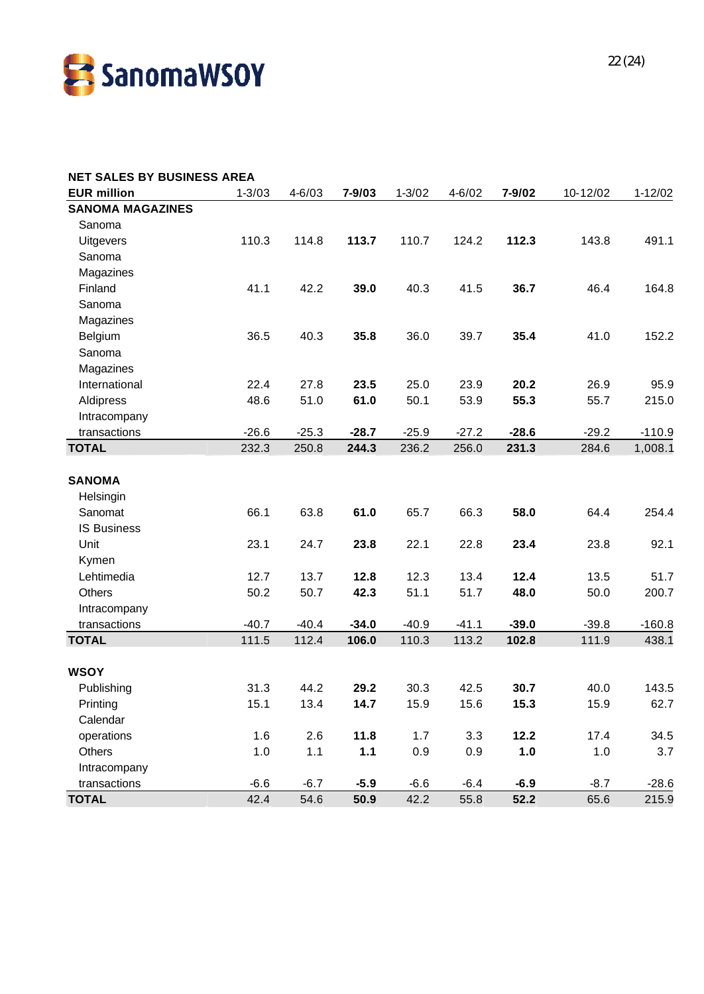

| <b>NET SALES BY BUSINESS AREA</b> |            |            |         |            |            |         |          |             |
|-----------------------------------|------------|------------|---------|------------|------------|---------|----------|-------------|
| <b>EUR million</b>                | $1 - 3/03$ | $4 - 6/03$ | 7-9/03  | $1 - 3/02$ | $4 - 6/02$ | 7-9/02  | 10-12/02 | $1 - 12/02$ |
| <b>SANOMA MAGAZINES</b>           |            |            |         |            |            |         |          |             |
| Sanoma                            |            |            |         |            |            |         |          |             |
| <b>Uitgevers</b>                  | 110.3      | 114.8      | 113.7   | 110.7      | 124.2      | 112.3   | 143.8    | 491.1       |
| Sanoma                            |            |            |         |            |            |         |          |             |
| Magazines                         |            |            |         |            |            |         |          |             |
| Finland                           | 41.1       | 42.2       | 39.0    | 40.3       | 41.5       | 36.7    | 46.4     | 164.8       |
| Sanoma                            |            |            |         |            |            |         |          |             |
| Magazines                         |            |            |         |            |            |         |          |             |
| Belgium                           | 36.5       | 40.3       | 35.8    | 36.0       | 39.7       | 35.4    | 41.0     | 152.2       |
| Sanoma                            |            |            |         |            |            |         |          |             |
| Magazines                         |            |            |         |            |            |         |          |             |
| International                     | 22.4       | 27.8       | 23.5    | 25.0       | 23.9       | 20.2    | 26.9     | 95.9        |
| Aldipress                         | 48.6       | 51.0       | 61.0    | 50.1       | 53.9       | 55.3    | 55.7     | 215.0       |
| Intracompany                      |            |            |         |            |            |         |          |             |
| transactions                      | $-26.6$    | $-25.3$    | $-28.7$ | $-25.9$    | $-27.2$    | $-28.6$ | $-29.2$  | $-110.9$    |
| <b>TOTAL</b>                      | 232.3      | 250.8      | 244.3   | 236.2      | 256.0      | 231.3   | 284.6    | 1,008.1     |
|                                   |            |            |         |            |            |         |          |             |
| <b>SANOMA</b>                     |            |            |         |            |            |         |          |             |
| Helsingin                         |            |            |         |            |            |         |          |             |
| Sanomat                           | 66.1       | 63.8       | 61.0    | 65.7       | 66.3       | 58.0    | 64.4     | 254.4       |
| <b>IS Business</b>                |            |            |         |            |            |         |          |             |
| Unit                              | 23.1       | 24.7       | 23.8    | 22.1       | 22.8       | 23.4    | 23.8     | 92.1        |
| Kymen                             |            |            |         |            |            |         |          |             |
| Lehtimedia                        | 12.7       | 13.7       | 12.8    | 12.3       | 13.4       | 12.4    | 13.5     | 51.7        |
| <b>Others</b>                     | 50.2       | 50.7       | 42.3    | 51.1       | 51.7       | 48.0    | 50.0     | 200.7       |
| Intracompany                      |            |            |         |            |            |         |          |             |
| transactions                      | $-40.7$    | $-40.4$    | $-34.0$ | $-40.9$    | $-41.1$    | $-39.0$ | $-39.8$  | $-160.8$    |
| <b>TOTAL</b>                      | 111.5      | 112.4      | 106.0   | 110.3      | 113.2      | 102.8   | 111.9    | 438.1       |
| <b>WSOY</b>                       |            |            |         |            |            |         |          |             |
| Publishing                        | 31.3       | 44.2       | 29.2    | 30.3       | 42.5       | 30.7    | 40.0     | 143.5       |
| Printing                          | 15.1       | 13.4       | 14.7    | 15.9       | 15.6       | 15.3    | 15.9     | 62.7        |
| Calendar                          |            |            |         |            |            |         |          |             |
| operations                        | 1.6        | 2.6        | 11.8    | 1.7        | 3.3        | 12.2    | 17.4     | 34.5        |
| Others                            | 1.0        | 1.1        | 1.1     | 0.9        | 0.9        | 1.0     | 1.0      | 3.7         |
| Intracompany                      |            |            |         |            |            |         |          |             |
| transactions                      | $-6.6$     | $-6.7$     | $-5.9$  | $-6.6$     | $-6.4$     | $-6.9$  | $-8.7$   | $-28.6$     |
| <b>TOTAL</b>                      | 42.4       | 54.6       | 50.9    | 42.2       | 55.8       | 52.2    | 65.6     | 215.9       |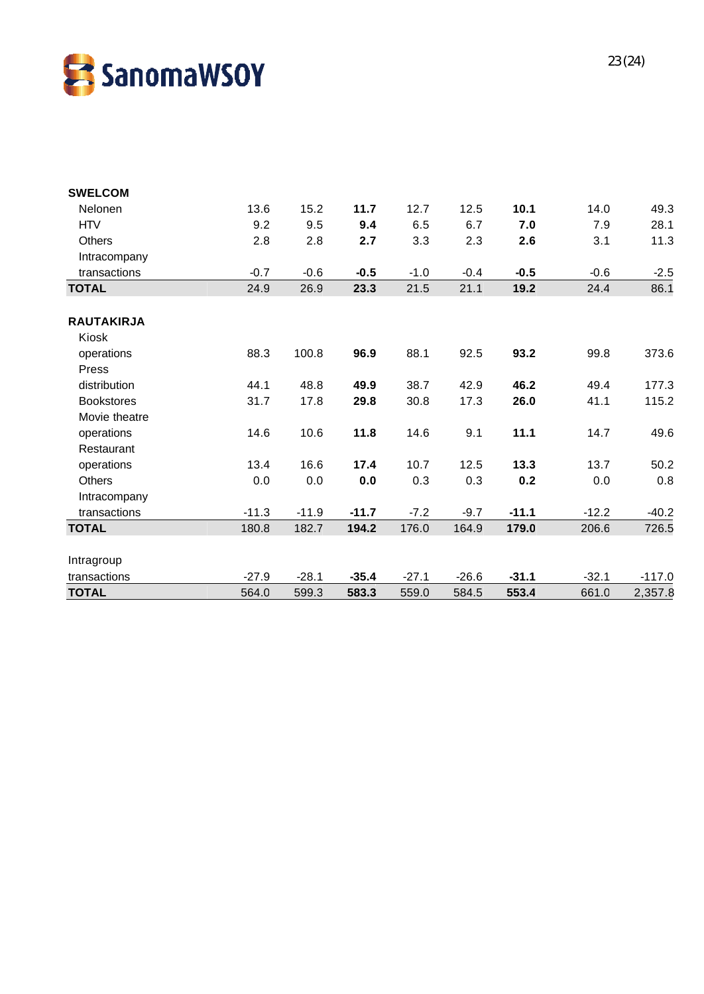

| <b>SWELCOM</b>    |         |         |         |         |         |         |         |          |
|-------------------|---------|---------|---------|---------|---------|---------|---------|----------|
| Nelonen           | 13.6    | 15.2    | 11.7    | 12.7    | 12.5    | 10.1    | 14.0    | 49.3     |
| <b>HTV</b>        | 9.2     | 9.5     | 9.4     | 6.5     | 6.7     | 7.0     | 7.9     | 28.1     |
| <b>Others</b>     | 2.8     | 2.8     | 2.7     | 3.3     | 2.3     | 2.6     | 3.1     | 11.3     |
| Intracompany      |         |         |         |         |         |         |         |          |
| transactions      | $-0.7$  | $-0.6$  | $-0.5$  | $-1.0$  | $-0.4$  | $-0.5$  | $-0.6$  | $-2.5$   |
| <b>TOTAL</b>      | 24.9    | 26.9    | 23.3    | 21.5    | 21.1    | 19.2    | 24.4    | 86.1     |
| <b>RAUTAKIRJA</b> |         |         |         |         |         |         |         |          |
| Kiosk             |         |         |         |         |         |         |         |          |
| operations        | 88.3    | 100.8   | 96.9    | 88.1    | 92.5    | 93.2    | 99.8    | 373.6    |
| Press             |         |         |         |         |         |         |         |          |
| distribution      | 44.1    | 48.8    | 49.9    | 38.7    | 42.9    | 46.2    | 49.4    | 177.3    |
| <b>Bookstores</b> | 31.7    | 17.8    | 29.8    | 30.8    | 17.3    | 26.0    | 41.1    | 115.2    |
| Movie theatre     |         |         |         |         |         |         |         |          |
| operations        | 14.6    | 10.6    | 11.8    | 14.6    | 9.1     | 11.1    | 14.7    | 49.6     |
| Restaurant        |         |         |         |         |         |         |         |          |
| operations        | 13.4    | 16.6    | 17.4    | 10.7    | 12.5    | 13.3    | 13.7    | 50.2     |
| <b>Others</b>     | 0.0     | 0.0     | 0.0     | 0.3     | 0.3     | 0.2     | 0.0     | 0.8      |
| Intracompany      |         |         |         |         |         |         |         |          |
| transactions      | $-11.3$ | $-11.9$ | $-11.7$ | $-7.2$  | $-9.7$  | $-11.1$ | $-12.2$ | $-40.2$  |
| <b>TOTAL</b>      | 180.8   | 182.7   | 194.2   | 176.0   | 164.9   | 179.0   | 206.6   | 726.5    |
| Intragroup        |         |         |         |         |         |         |         |          |
| transactions      | $-27.9$ | $-28.1$ | $-35.4$ | $-27.1$ | $-26.6$ | $-31.1$ | $-32.1$ | $-117.0$ |
| <b>TOTAL</b>      | 564.0   | 599.3   | 583.3   | 559.0   | 584.5   | 553.4   | 661.0   | 2,357.8  |